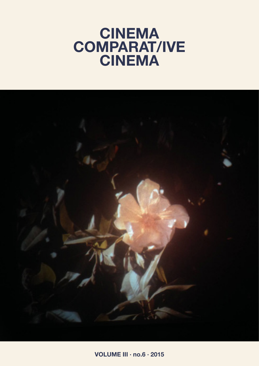# **CINEMA COMPARAT/IVE CINEMA**



**VOLUME III · no.6 · 2015**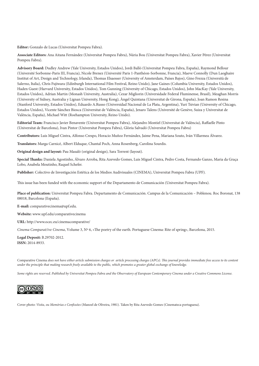**Editor:** Gonzalo de Lucas (Universitat Pompeu Fabra).

**Associate Editors:** Ana Aitana Fernández (Universitat Pompeu Fabra), Núria Bou (Universitat Pompeu Fabra), Xavier Pérez (Universitat Pompeu Fabra).

**Advisory Board:** Dudley Andrew (Yale University, Estados Unidos), Jordi Balló (Universitat Pompeu Fabra, España), Raymond Bellour (Université Sorbonne-Paris III, Francia), Nicole Brenez (Université Paris 1-Panthéon-Sorbonne, Francia), Maeve Connolly (Dun Laoghaire Institut of Art, Design and Technology, Irlanda), Thomas Elsaesser (University of Amsterdam, Países Bajos), Gino Frezza (Università de Salerno, Italia), Chris Fujiwara (Edinburgh International Film Festival, Reino Unido), Jane Gaines (Columbia University, Estados Unidos), Haden Guest (Harvard University, Estados Unidos), Tom Gunning (University of Chicago, Estados Unidos), John MacKay (Yale University, Estados Unidos), Adrian Martin (Monash University, Australia), Cezar Migliorin (Universidade Federal Fluminense, Brasil), Meaghan Morris (University of Sidney, Australia y Lignan University, Hong Kong), Àngel Quintana (Universitat de Girona, España), Joan Ramon Resina (Stanford University, Estados Unidos), Eduardo A.Russo (Universidad Nacional de La Plata, Argentina), Yuri Tsivian (University of Chicago, Estados Unidos), Vicente Sánchez Biosca (Universitat de València, España), Jenaro Talens (Université de Genève, Suiza y Universitat de València, España), Michael Witt (Roehampton University, Reino Unido).

**Editorial Team:** Francisco Javier Benavente (Universitat Pompeu Fabra), Alejandro Montiel (Universitat de València), Raffaelle Pinto (Universitat de Barcelona), Ivan Pintor (Universitat Pompeu Fabra), Glòria Salvadó (Universitat Pompeu Fabra)

**Contributors:** Luis Miguel Cintra, Alfonso Crespo, Horacio Muñoz Fernández, Jaime Pena, Mariana Souto, Iván Villarmea Álvarez.

**Translators:** Marga Carnicé, Albert Elduque, Chantal Poch, Anna Rosenberg, Carolina Sourdis.

**Original design and layout:** Pau Masaló (original design), Sara Torrent (layout).

**Special Thanks:** Daniela Agostinho, Álvaro Arroba, Rita Azevedo Gomes, Luis Miguel Cintra, Pedro Costa, Fernando Ganzo, Maria da Graça Lobo, Anabela Moutinho, Raquel Schefer.

**Publisher:** Colectivo de Investigación Estética de los Medios Audivisuales (CINEMA), Universitat Pompeu Fabra (UPF).

This issue has been funded with the economic support of the Departamento de Comunicación (Universitat Pompeu Fabra).

**Place of publication:** Universitat Pompeu Fabra. Departamento de Comunicación. Campus de la Comunicación – Poblenou. Roc Boronat, 138 08018, Barcelona (España).

**E-mail:** comparativecinema@upf.edu.

**Website:** www.upf.edu/comparativecinema

**URL:** http://www.ocec.eu/cinemacomparative/

*Cinema Comparat/ive Cinema*, Volume 3, Nº 6, «The poetry of the earth. Portuguese Cinema: Rite of spring», Barcelona, 2015.

**Legal Deposit:** B.29702-2012. **ISSN:** 2014-8933.

Comparative Cinema *does not have either article submission charges or article processing charges (APCs). This journal provides immediate free access to its content under the principle that making research freely available to the public, which promotes a greater global exchange of knowledge.*

*Some rights are reserved. Published by Universitat Pompeu Fabra and the Observatory of European Contemporary Cinema under a Creative Commons License.*



Cover photo: *Visita, ou Memórias e Confissões* (Manoel de Oliveira, 1981). Taken by Rita Azevedo Gomes (Cinemateca portuguesa).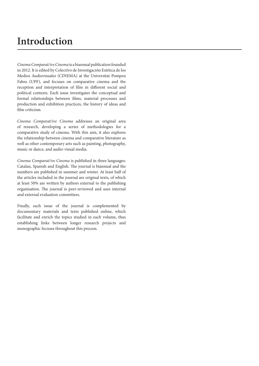## **Introduction**

*Cinema Comparat/ive Cinema* is a biannual publication founded in 2012. It is edited by Colectivo de Investigación Estética de los Medios Audiovisuales (CINEMA) at the Universitat Pompeu Fabra (UPF), and focuses on comparative cinema and the reception and interpretation of film in different social and political contexts. Each issue investigates the conceptual and formal relationships between films, material processes and production and exhibition practices, the history of ideas and film criticism.

*Cinema Comparat/ive Cinema* addresses an original area of research, developing a series of methodologies for a comparative study of cinema. With this aim, it also explores the relationship between cinema and comparative literature as well as other contemporary arts such as painting, photography, music or dance, and audio-visual media.

*Cinema Comparat/ive Cinema* is published in three languages: Catalan, Spanish and English. The journal is biannual and the numbers are published in summer and winter. At least half of the articles included in the journal are original texts, of which at least 50% are written by authors external to the publishing organisation. The journal is peer-reviewed and uses internal and external evaluation committees.

Finally, each issue of the journal is complemented by documentary materials and texts published online, which facilitate and enrich the topics studied in each volume, thus establishing links between longer research projects and monographic focuses throughout this process.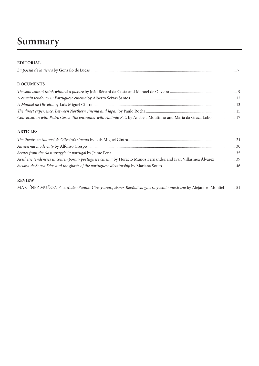## **Summary**

## **EDITORIAL**

| $\mathbf{r}$ . $\ell$<br>المحما مستنم نهام الملاحما<br>Gonzalo de Lucas<br>La poesia de la tierra Dy |
|------------------------------------------------------------------------------------------------------|
|------------------------------------------------------------------------------------------------------|

## **DOCUMENTS**

| Conversation with Pedro Costa. The encounter with António Reis by Anabela Moutinho and Maria da Graça Lobo 17 |  |
|---------------------------------------------------------------------------------------------------------------|--|

## **ARTICLES**

| Aesthetic tendencies in contemporary portuguese cinema by Horacio Muñoz Fernández and Iván Villarmea Álvarez 39 |  |
|-----------------------------------------------------------------------------------------------------------------|--|
|                                                                                                                 |  |

## **REVIEW**

MARTÍNEZ MUÑOZ, Pau*, Mateo Santos. Cine y anarquismo. República, guerra y exilio mexicano* by Alejandro Montiel........... 51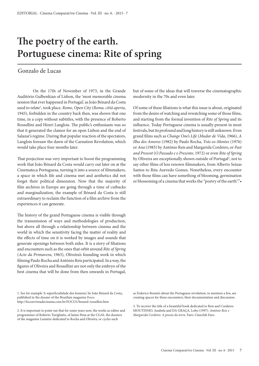## **The poetry of the earth. Portuguese cinema: Rite of spring**

## Gonzalo de Lucas

On the 17th of November of 1973, in the Grande Auditório Gulbenkian of Lisbon, the 'most memorable cinema session that ever happened in Portugal,' as João Bénard da Costa used to relate1 , took place. *Rome, Open City* (*Roma, città aperta*, 1945), forbidden in the country back then, was shown that one time, in a copy without subtitles, with the presence of Roberto Rossellini and Henri Langlois. The public's enthusiasm was so that it generated the clamor for an open Lisbon and the end of Salazar's regime. During that popular reaction of the spectators, Langlois foresaw the dawn of the Carnation Revolution, which would take place four months later.

That projection was very important to boost the programming work that João Bénard da Costa would carry out later on at the Cinemateca Portuguesa, turning it into a source of filmmakers, a space in which life and cinema met and aesthetics did not forget their political dimension. Now that the majority of film archives in Europe are going through a time of cutbacks and marginalization, the example of Bénard da Costa is still extraordinary to reclaim the function of a film archive from the experiences it can generate.

The history of the grand Portuguese cinema is visible through the transmission of ways and methodologies of production, but above all through a relationship between cinema and the world in which the sensitivity facing the matter of reality and the effects of time on it is worked by images and sounds that generate openings between both sides. It is a story of filiations and encounters such as the ones that orbit around *Rite of Spring* (*Acto da Primavera*, 1963), Oliveira's founding work in which filming Paulo Rocha and António Reis participated. In a way, the figures of Oliveira and Rossellini are not only the embryo of the best cinema that will be done from then onwards in Portugal,

1. See for example 'A superficialidade dos homens', by João Bénard da Costa, published in the dossier of the Brazilian magazine Foco: http://focorevistadecinema.com.br/FOCO1/benard-rossellini.htm

2. It is important to point out that for some years now, the works as editor and programmer of Roberto Turigliatto, of Jaime Pena at the CGAI, the dossiers of the magazine Lumière dedicated to Rocha and Oliveira, or cycles such

but of some of the ideas that will traverse the cinematographic modernity in the 70s and even later.

Of some of these filiations is what this issue is about, originated from the desire of watching and rewatching some of those films, and starting from the formal invention of *Rite of Spring* and its influence. Today Portuguese cinema is usually present in most festivals, but its profound and long history is still unknown. Even grand films such as *Change One's Life* (*Mudar de Vida*, 1966), *A Ilha dos Amores* (1982) by Paulo Rocha, *Trás-os-Montes* (1976) or *Ana* (1983) by António Reis and Margarida Cordeiro, or *Past and Present* (*O Passado e o Presente*, 1972) or even *Rite of Spring* by Oliveira are exceptionally shown outside of Portugal<sup>2</sup>, not to say other films of less renown filmmakers, from Alberto Seixas Santos to Rita Azevedo Gomes. Nonetheless, every encounter with those films can have something of blooming, germination or blossoming of a cinema that works the "poetry of the earth<sup>3</sup>.".

as Federico Rossin's about the Portuguese revolution, to mention a few, are creating spaces for these encounters, their documentation and discussion.

3. To recover the title of a beautiful book dedicated to Reis and Cordeiro: MOUTINHO, Anabela and DA GRAÇA, Lobo (1997). *António Reis e Margarida Cordeiro. A poesia da terra*. Faro: Cineclub Faro.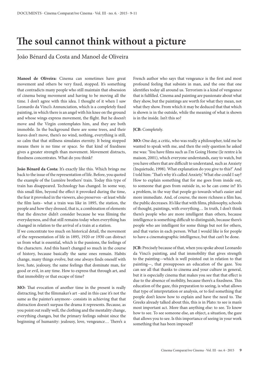## **The soul cannot think without a picture**

João Bénard da Costa and Manoel de Oliveira

**Manoel de Oliveira:** Cinema can sometimes have great movement and others be very fixed, stopped. It's something that contradicts many people who still maintain that obsession of cinema being movement and having to be moving all the time. I don't agree with this idea. I thought of it when I saw Leonardo da Vinci's Annunciation, which is a completely fixed painting, in which there is an angel with his knee on the ground and whose wings express movement, the flight. But he doesn't move and the Virgin contemplates him, and they are both immobile. In the background there are some trees, and their leaves don't move, there's no wind, nothing, everything is still, so calm that that stillness simulates eternity. It being stopped means there is no time or space. So that kind of fixedness gives a greater strength than movement. Movement distracts, fixedness concentrates. What do you think?

**João Bénard da Costa:** It's exactly like this. Which brings me back to the issue of the representation of life. Before, you quoted the example of the Lumière brothers' train. Today this type of train has disappeared. Technology has changed. In some way, this small film, beyond the effect it provoked during the time, the fear it provoked in the viewers, also preserves –at least while the film lasts– what a train was like in 1895, the station, the people and how they dressed, that is, a combination of elements that the director didn't consider because he was filming the everydayness, and that still remains today when everything has changed in relation to the arrival of a train at a station.

If we concentrate too much on historical detail, the movement of the representation of life in 1895, 1920 or 1930 can distract us from what is essential, which is the passions, the feelings of the characters. And this hasn't changed so much in the course of history, because basically the same ones remain. Habits change, many things evolve, but one always finds oneself with love, hate, jealousy, the same feelings that dominate man, for good or evil, in any time. How to express that through art, and that immobility or that escape of time?

**MO:** That evocation of another time in the present is really distracting, but the filmmaker's art –and in this case it's not the same as the painter's anymore– consists in achieving that that distraction doesn't surpass the drama it represents. Because, as you point out really well, the clothing and the mentality change, everything changes, but the primary feelings subsist since the beginning of humanity: jealousy, love, vengeance… There's a

French author who says that vengeance is the first and most profound feeling that subsists in man, and the one that one identifies today all around us. Terrorism is a kind of vengeance that is fulfilled. Cinema and painting are passionate about what they show, but the paintings are worth for what they mean, not what they show. From which it may be deduced that that which is shown is in the outside, while the meaning of what is shown is in the inside. Isn't this so?

## **JCB:** Completely.

**MO:** One day, a critic, who was really a philosopher, told me he wanted to speak with me, and then the only question he asked me was: 'You have films such as I'm Going Home (Je rentre à la maison, 2001), which everyone understands, easy to watch, but you have others that are difficult to understand, such as Anxiety (Inquietude, 1998). What explanation do you give to this?' And I told him: 'That's why it's called Anxiety.' What else could I say? How to explain something that for me goes from inside out, to someone that goes from outside in, so he can come in? It's a problem, in the way that people go towards what's easier and more immediate. And, of course, the more richness a film has, the public decreases. It's like that with films, philosophy, schools of thought, paintings, with everything… In truth, I don't think there's people who are more intelligent than others, because intelligence is something difficult to distinguish, because there's people who are intelligent for some things but not for others, and that varies in each person. What I would like is for people to have a cinematographic intelligence, but that can't be done.

**JCB:** Precisely because of that, when you spoke about Leonardo da Vinci's painting, and that immobility that gives strength to the painting—which is well pointed out in relation to that painting—, that presupposes an education of the gaze. You can see all that thanks to cinema and your culture in general, but it is especially cinema that makes you see that that effect is due to the absence of mobility, because there's a fixedness. This education of the gaze, this preparation to seeing, is what allows that type of interpretation or analysis, or to feel something that people don't know how to explain and have the need to. The Greeks already talked about this, this is in Plato: to see is man's most important act. More than anything else: to see. To know how to see. To see someone else, an object, a situation, the gaze that allows you to see. Is this importance of seeing in your work something that has been imposed?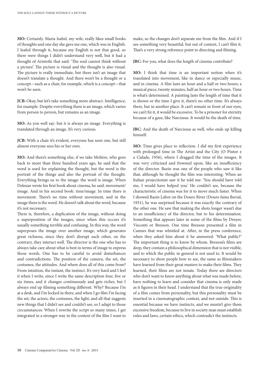**MO:** Certainly. María Isabel, my wife, really likes small books of thoughts and one day she gave me one, which was in English. I leafed through it, because my English is not that good, so there were things I didn't understand very well, but it had a thought of Aristotle that said: 'The soul cannot think without a picture'. The picture is visual and the thought is also visual. The picture is really immediate, but there isn't an image that doesn't translate a thought. And there won't be a thought or a concept—such as a chair, for example, which is a concept—that won't be seen.

**JCB:** Okay, but let's take something more abstract. Intelligence, for example. Despite everything there is an image, which varies from person to person, but remains as an image.

**MO:** As you well say: but it is always an image. Everything is translated through an image. It's very curious.

**JCB:** With a chair it's evident, everyone has seen one, but still almost everyone sees his or her own.

**MO:** And there's something else, if we take Molière, who goes back to more than three hundred years ago, he said that the word is used for explaining the thought, but the word is the portrait of the things and also the portrait of the thought. Everything brings us to the image: the word is image. When Deleuze wrote his first book about cinema, he said: movement/ image. And in his second book: time/image. In time there is movement. There's no time without movement, and in the image there is the word. He doesn't talk about the word, because it's not necessary.

There is, therefore, a duplication of the image, without doing a superposition of the images, since when this occurs it's usually something terrible and confusing. In this way, the word superposes the image over another image, which generates great richness, since they don't disrupt each other, on the contrary, they interact well. The director is the one who has to always take care about what is best in terms of image to express those words. One has to be careful to avoid disturbances and contradictions. The position of the camera, the set, the costumes, the attitudes. And where does all of this come from? From intuition, the instant, the instinct. It's very hard and I feel it when I write, since I write the same description four, five or six times, and it changes continuously and gets richer, but I always end up filming something different. Why? Because I'm at a desk, and I'm locked in there, and when I go film I'm facing the set, the actors, the costumes, the light, and all that suggests new things that I didn't see and couldn't see, so I adapt to those circumstances. When I rewrite the script so many times, I get integrated in a stronger way in the context of the film I want to

make, so the changes don't separate me from the film. And if I see something very beautiful, but out of context, I can't film it. That's a very strong reference point to directing and filming.

**JBC:** For you, what does the length of cinema contribute?

**MO:** I think that time is an important notion when it's translated into movement, like in dance or especially music, and in cinema. A film lasts an hour and a half or two hours; a musical piece, twenty minutes, half an hour or two hours. Time is what's determined. A painting lasts the length of time that it is shown or the time I give it, there's no other time. It's always there, but in another place. It can't remain in front of our eyes, we can't fix it, it would be excessive. To be a prisoner for eternity because of a gaze, like Narcissus. It would be the death of time.

**JBC:** And the death of Narcissus as well, who ends up killing himself.

**MO:** Time gives place to reflection. I did my first experience with prolonged time in The Artist and the City (O Pintor e a Cidade, 1956), where I dragged the time of the images. It was very criticized and frowned upon, like an insufficiency of the director. Bazin was one of the people who saw it like that, although he thought the film was interesting. When an Italian projectionist saw it he told me: 'You should have told me, I would have helped you.' He couldn't see, because the characteristic of cinema was for it to move much faster. When I showed Bazin Labor on the Douro River (Douro faina fluvial, 1931), he was surprised because it was exactly the contrary of the other one. He saw that making the shots longer wasn't due to an insufficiency of the director, but to his determination. Something that appears later in some of the films by Dreyer, Visconti or Bresson. One time Bresson presented a film in Cannes that was whistled at. After, in the press conference, when they asked him about it he answered: 'What public?' The important thing is to know by whom. Bresson's films are deep, they contain a philosophical dimension that is not visible, and to which the public in general is not used to. It would be necessary to show people how to see, the same as filmmakers have learned from their great masters to make their films. They learned, their films are not innate. Today there are directors who don't want to know anything about what was made before, have nothing to learn and consider that cinema is only made as it figures in their head. I understand that the true originality of a film comes from personality, but this personality must be inserted in a cinematographic context, and not outside. This is essential because we have instincts, and we mustn't give them excessive freedom, because to live in society man must establish rules and laws, certain ethics, which contradict the instincts.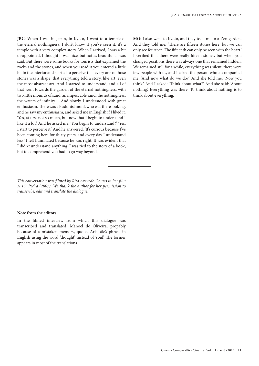**JBC:** When I was in Japan, in Kyoto, I went to a temple of the eternal nothingness, I don't know if you've seen it, it's a temple with a very complex story. When I arrived, I was a bit disappointed, I thought it was nice, but not as beautiful as was said. But there were some books for tourists that explained the rocks and the stones, and when you read it you entered a little bit in the interior and started to perceive that every one of those stones was a shape, that everything told a story, like art, even the most abstract art. And I started to understand, and all of that went towards the garden of the eternal nothingness, with two little mounds of sand, an impeccable sand, the nothingness, the waters of infinity… And slowly I understood with great enthusiasm. There was a Buddhist monk who was there looking, and he saw my enthusiasm, and asked me in English if I liked it. 'Yes, at first not so much, but now that I begin to understand I like it a lot.' And he asked me: 'You begin to understand?' 'Yes, I start to perceive it.' And he answered: 'It's curious because I've been coming here for thirty years, and every day I understand less.' I felt humiliated because he was right. It was evident that I didn't understand anything, I was tied to the story of a book, but to comprehend you had to go way beyond.

*This conversation was filmed by Rita Azevedo Gomes in her film A 15ª Pedra (2007). We thank the author for her permission to transcribe, edit and translate the dialogue.* 

#### **Note from the editors**

In the filmed interview from which this dialogue was transcribed and translated, Manoel de Oliveira, propably because of a mistaken memory, quotes Aristotle's phrase in English using the word 'thought' instead of 'soul'. The former appears in most of the translations.

**MO:** I also went to Kyoto, and they took me to a Zen garden. And they told me: 'There are fifteen stones here, but we can only see fourteen. The fifteenth can only be seen with the heart.' I verified that there were really fifteen stones, but when you changed positions there was always one that remained hidden. We remained still for a while, everything was silent, there were few people with us, and I asked the person who accompanied me: 'And now what do we do?' And she told me: 'Now you think.' And I asked: 'Think about what?' And she said: 'About nothing.' Everything was there. To think about nothing is to think about everything.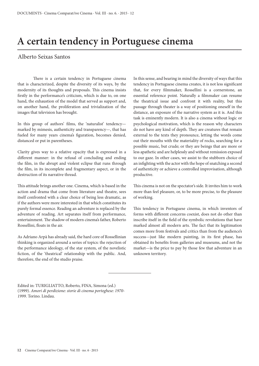## **A certain tendency in Portuguese cinema**

## Alberto Seixas Santos

There is a certain tendency in Portuguese cinema that is characterized, despite the diversity of its ways, by the modernity of its thoughts and proposals. This cinema insists firstly in the performance's criticism, which is due to, on one hand, the exhaustion of the model that served as support and, on another hand, the proliferation and trivialization of the images that television has brought.

In this group of authors' films, the 'naturalist' tendency marked by mimesis, authenticity and transparency—, that has fueled for many years cinema's figuration, becomes denied, distanced or put in parentheses.

Clarity gives way to a relative opacity that is expressed in a different manner: in the refusal of concluding and ending the film, in the abrupt and violent eclipse that runs through the film, in its incomplete and fragmentary aspect, or in the destruction of its narrative thread.

This attitude brings another one. Cinema, which is based in the action and drama that come from literature and theatre, sees itself confronted with a clear choice of being less dramatic, as if the authors were more interested in that which constitutes its purely formal essence. Reading an adventure is replaced by the adventure of reading. Art separates itself from performance, entertainment. The shadow of modern cinema's father, Roberto Rossellini, floats in the air.

As Adriano Arpà has already said, the hard core of Rossellinian thinking is organized around a series of topics: the rejection of the performance ideology, of the star system, of the novelistic fiction, of the 'theatrical' relationship with the public. And, therefore, the end of the studio praise.

In this sense, and bearing in mind the diversity of ways that this tendency in Portuguese cinema creates, it is not less significant that, for every filmmaker, Rossellini is a cornerstone, an essential reference point. Naturally a filmmaker can resume the theatrical issue and confront it with reality, but this passage through theater is a way of positioning oneself in the distance, an exposure of the narrative system as it is. And this task is eminently modern. It is also a cinema without logic or psychological motivation, which is the reason why characters do not have any kind of depth. They are creatures that remain external to the texts they pronounce, letting the words come out their mouths with the materiality of rocks, searching for a possible music, but crude; or they are beings that are more or less apathetic and are helplessly and without remission exposed to our gaze. In other cases, we assist to the stubborn choice of an infighting with the actor with the hope of snatching a second of authenticity or achieve a controlled improvisation, although productive.

This cinema is not on the spectator's side. It invites him to work more than feel pleasure, or, to be more precise, to the pleasure of working.

This tendency in Portuguese cinema, in which inventors of forms with different concerns coexist, does not do other than inscribe itself in the field of the symbolic revolutions that have marked almost all modern arts. The fact that its legitimation comes more from festivals and critics than from the audience's success—just like modern painting, in its first phase, has obtained its benefits from galleries and museums, and not the market—is the price to pay by those few that adventure in an unknown territory.

Edited in: TURIGLIATTO, Roberto, FINA, Simona (ed.) (1999). *Amori di perdizione: storie di cinema portoghese: 1970- 1999*. Torino. Lindau.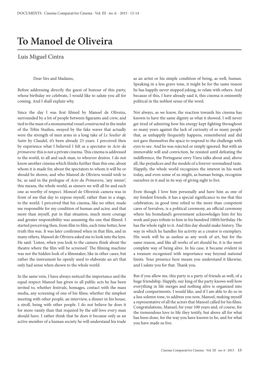## **To Manoel de Oliveira**

## Luis Miguel Cintra

## Dear Sirs and Madams,

Before addressing directly the guest of honour of this party, whose birthday we celebrate, I would like to salute you all for coming. And I shall explain why.

Since the day I was first filmed by Manoel de Oliveira, surrounded by a lot of people between figurants and crew, and tied to the mast of a monumental vessel constructed in the midst of the Tóbis Studios, swayed by the fake waves that actually were the strength of men arms in a long take of *Le Soulier de*  Satin by Claudel, it's been already 25 years. I perceived then by experience what I believed I felt as a spectator in *Acto da primavera*: this is not a private cinema. This cinema is addressed to the world, to all and each man, to whoever desires. I do not know another cinema which thinks further than this one, about whom it is made for, about the spectators to whom it will be or should be shown, and who Manoel de Oliviera would wish to be, as said in the prologue of *Acto da Primavera*, 'any sinner', this means, the whole world, as sinners we will all be and each one as worthy of respect. Monoel de Oliveira's camera was in front of me that day to expose myself, rather than in a stage, to the world. I perceived that his cinema, like no other, made me responsible for my condition of human and actor, and that more than myself, put in that situation, much more courage and greater responsibility was assuming the one that filmed. I started perceiving then, from film to film, each time better, how truth this was. It was later confirmed when in that film, and in many others, Manoel de Oliviera asked me to look into the lens. He said: 'Listen, when you look to the camera think about the theatre where the film will be screened.' The filming machine was not the hidden look of a filmmaker, like in other cases, but rather the instrument he openly used to elaborate an art that only had sense when shown to the whole world.

In the same vein, I have always noticed the importance and the equal respect Manoel has given to all public acts he has been invited to, whether festivals, homages, contact with the mass media, any screening of one of his films; whether the simplest meeting with other people, an interview, a dinner in his house, a stroll, being with other people. I do not believe he does it for more vanity than that required by the self-love every man should have. I rather think that he does it because only as an active member of a human society he will understand his trade as an artist or his simple condition of being, as well, human. Speaking in a less grave tone, it might be for the same reason he has happily never stopped joking, to relate with others. And because of this, I have already said it, this cinema is eminently political in the noblest sense of the word.

Not always, as we know, the reaction towards his cinema has known to have the same dignity as what it showed. I will never get tired of admiring how his energy kept fighting throughout so many years against the lack of curiosity of so many people that, as unhappily frequently happens, remembered and did not gave themselves the space to respond to the challenge with eyes to see. And he was rejected or simply ignored. But with an immovable will and conviction, he resisted until defeating the indifference, the Portuguese envy Viera talks about and, above all, the prejudices and the models of a forever-normalized taste. Happily, the whole world recognizes the interest in his work today, and even some of us might, as human beings, recognize ourselves in it and in its way of giving sight to live.

Even though I love him personally and have him as one of my fondest friends, it has a special significance to me that this celebration, in good time relied to the more than competent cares of Serralves, is a political ceremony, an official ceremony where his homeland's government acknowledges him for his work and pays tribute to him in his hundred 100th birthday. He has the whole right to it. And this day should make history. The way in which he handles his activity as a creator is exemplary. His work will be as useless as any work of art, but for the same reason, and like all works of art should be, it is the most complete way of being alive. In his case, it became evident in a treasure recognized with importance way beyond national limits. Your presence here means you understand it likewise, and I salute you for that. Thank you.

But if you allow me, this party is a party of friends as well, of a huge friendship. Happily, our king of the party knows well how everything in life merges and nothing alive is organized into sealed compartments. I would like, and if I am able to do so in a less solemn tone, to address you now, Manoel, making myself a representative of all the actors that Manoel called for his films. Congratulations, Manuel, for your 100 years and, of course, for the tremendous love to life they testify, but above all for what has been done, for the way you have known to be, and for what you have made us live.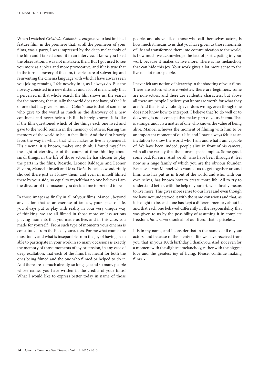When I watched *Cristóvão Colombo o enigma*, your last finished feature film, in the première that, as all the premières of your films, was a party, I was impressed by the deep melancholy of the film and I talked about it in an interview. I know you liked the observation. I was not mistaken, then. But I got used to see you more as a joker and more provocative, and if it is true that in the formal bravery of the film, the pleasure of subverting and reinventing the cinema language with which I have always seen you joking remains, I felt novelty in it, as I always do. But the novelty consisted in a new distance and a lot of melancholy that I perceived in that whole search the film shows us: the search for the memory, that usually the world does not have, of the life of one that has given so much. Colon's case is that of someone who gave to the world as much as the discovery of a new continent and nevertheless his life is barely known. It is like if the film questioned which of the things each one lived and gave to the world remain in the memory of others, fearing the memory of the world to be, in fact, little. And the film bravely faces the way in which that what makes us live is ephemeral. His cinema, it is known, makes one think. I found myself in the light of eternity, or of the course of time thinking about small things: in the life of those actors he has chosen to play the parts in the films, Ricardo, Leonor Baldaque and Leonor Silveira, Manoel himself and Mrs. Doña Isabel, so wonderfully showed there just as I know them, and even in myself filmed there by your side, so equal to myself that no one believes I am the director of the museum you decided me to pretend to be.

In those images as finally in all of your films, Manoel, beyond any fiction that as an exercise of fantasy, your spice of life, you always put to play with reality in your very unique way of thinking, we are all filmed in those more or less serious playing moments that you made us live, and in this case, you made for yourself. From such type of moments your cinema is constituted, from the life of your actors. For me what counts the most today and what is inseparable from the joy of having been able to participate in your work in so many occasions is exactly the memory of those moments of joy or tension, in any case of deep exaltation, that each of the films has meant for both the ones being filmed and the one who filmed or helped to do it. And there are so much already, so long ago and so many people whose names you have written in the credits of your films! What I would like to express better today in name of those

people, and above all, of those who call themselves actors, is how much it means to us that you have given us those moments of life and transformed them into communication to the world, is how much we acknowledge the fact of participating in your work because it makes us live more. There is no melancholy that can hide this joy. Your work gives a lot more sense to the live of a lot more people.

I never felt any notion of hierarchy in the shooting of your films. There are actors who are vedettes, there are beginners, some are non-actors, and there are evidently characters, but above all there are people I believe you know are worth for what they are. And that is why nobody ever does wrong, even though one does not know how to interpret. I believe that 'to do well or to do wrong' is not a concept that makes part of your cinema. That is strange, and it is a matter of one who knows the value of being alive. Manoel achieves the moment of filming with him to be an important moment of our life, and I have always felt it as an invitation to show the world who I am and what I am capable of. We have been, indeed, people alive in front of his camera, with all the variety that the human specie implies. Some good, some bad, for sure. And we all, who have been through it, feel now as a huge family of which you are the obvious founder. Because it was Manoel who wanted us to get together around him, who has put us in front of the world and who, with our own selves, has known how to create more life. All to try to understand better, with the help of your art, what finally means to live more. This gives more sense to our lives and even though we have not understood it with the same conscious and that, as it is ought to be, each one has kept a different memory about it, and that each one behaved differently in the responsibility that was given to us by the possibility of assuming it in complete freedom, *his cinema* shook all of our lives. That is priceless.

It is in my name, and I consider that in the name of all of your actors, and because of the plenty of life we have received from you, that, in your 100th birthday, I thank you. And, not even for a moment with the slightest melancholy, rather with the biggest love and the greatest joy of living. Please, continue making films. •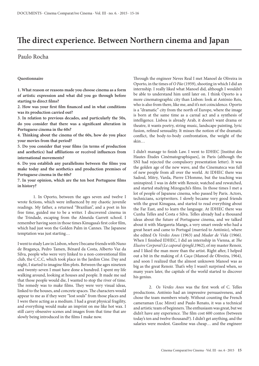## **The direct experience. Between Northern cinema and Japan**

## Paulo Rocha

### **Questionnaire**

**1. What reason or reasons made you choose cinema as a form of artistic expression and what did you go through before starting to direct films?** 

**2. How was your first film financed and in what conditions was its production carried out?** 

**3. In relation to previous decades, and particularly the 50s, do you consider that there was a significant alteration in Portuguese cinema in the 60s?**

**4. Thinking about the cinema of the 60s, how do you place your movies from that period?**

**5. Do you consider that your films (in terms of production and aesthetics) had affiliations or received influences from international movements?**

**6. Do you establish any parallelisms between the films you make today and the aesthetics and production premises of Portuguese cinema in the 60s?**

**7. In your opinion, which are the ten best Portuguese films in history?**

1. In Oporto, between the ages seven and twelve I wrote fictions, which were influenced by my chaotic juvenile readings. My father, a returned "Brazilian", and a poet in his free time, guided me to be a writer. I discovered cinema in the Trindade, escaping from the Almeida Garrett school. I remember having seen in those times Kinugasa's first color film, which had just won the Golden Palm in Cannes. The Japanese temptation was just starting…

I went to study Law in Lisbon, where I became friends with Nuno de Bragança, Pedro Tamen, Bénard da Costa, Alberto Vaz da Silva, people who were very linked to a non-conventional film club, the C.C.C, which took place in the Jardim Cine. Day and night, I started to imagine film plots. Between the ages nineteen and twenty-seven I must have done a hundred. I spent my life walking around, looking at houses and people. It made me sad that those people would die, I wanted to stop the river of time. The remedy was to make films. They were very visual ideas, linked to the houses, and concrete spaces. The characters would appear to me as if they were "lost souls" from those places and I were there acting as a medium. I had a great physical fragility, and everything would make an imprint on me like hot wax. I still carry obsessive scenes and images from that time that are slowly being introduced in the films I make now.

Through the engineer Neves Real I met Manoel de Oliveira in Oporto, in the times of *O Pão* (1959), shooting in which I did an internship. I really liked what Manoel did, although I wouldn't be able to understand him until later on. I think Oporto is a more cinematographic city than Lisbon: look at António Reis, who is also from there, like me, and it's not coincidence. Oporto is a "dramatic" city from the north of Europe, where the image is born at the same time as a carnal act and a synthesis of intelligence. Lisboa is already Arab, it doesn't want drama or theatre, it wants poetry, string music, landscape painting, lyric fusion, refined sensuality. It misses the notion of the dramatic conflict, the body-to-body confrontation, the weight of the skin…

I didn't manage to finish Law. I went to IDHEC [Institut des Hautes Études Cinématographiques], in Paris (although the SNI had rejected the compulsory presentation letter). It was the golden age of the new wave, and the Cinemateca was full of new people from all over the world. At IDHEC there was Sadoul, Mitry, Varda, Pierre L'Homme, but the teaching was uninspired. I was in debt with Renoir, watched and rewatched, and started studying Mizoguchi's films. In those times I met a lot of people of Japanese cinema, who passed by Paris. Actors, technicians, scriptwriters. I slowly became very good friends with the great Kinugasa, and started to read everything about the Far East, and to learn the language. At IDHEC there was Cunha Telles and Costa e Silva. Telles already had a thousand ideas about the future of Portuguese cinema, and we talked about it with Margareta Mangs, a very smart swede who had a great heart and came to Portugal (married to António), where she edited *Os Verdes Anos* (1963) and *Mudar de Vida* (1966). When I finished IDHEC, I did an internship in Vienna, at *The Elusive Corporal* (*Le caporal épinglé*,1962), of my master Renoir, and I liked the man more than the artist. Right after, I helped out a bit in the making of *A Caça* (Manoel de Oliveira, 1964), and soon I realized that the almost unknown Manoel was as big as the great Renoir. That's why I wasn't surprised when, so many years later, the capitals of the world started to discover his genius.

2. *Os Verdes Anos* was the first work of C. Telles productions. António had an impressive persuasiveness, and chose the team members wisely. Without counting the French cameraman (Luc Mirot) and Paulo Renato, it was a technical and artistic team of beginners. The enthusiasm was great, but we didn't have any experience. The film cost 600 contos (between today's ten and twelve thousand?). I didn't get anything, and the salaries were modest. Gasoline was cheap… and the engineer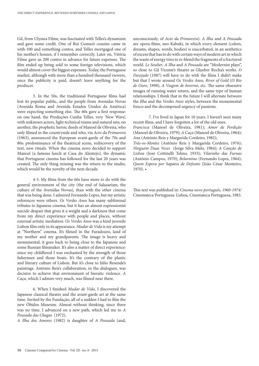Gil, from Ulyssea Filme, was fascinated with Telles's dynamism and gave some credit. One of Rui Gomes's cousins came in with 100 and something contos, and Telles mortgaged one of his mother's houses, if I remember correctly. Later on, Vitória Filme gave us 200 contos in advance for future expenses. The film ended up being sold to some foreign televisions, which would almost cover the biggest expenses. Today, the Portuguese market, although with more than a hundred thousand viewers, once the publicity is paid, doesn't leave anything for the producer.

3. In the 50s, the traditional Portuguese films had lost its popular public, and the people from Avenidas Novas (Avenida Roma and Avenida Estados Unidos da América) were expecting something else. The 60s gave a first response: on one hand, the Produções Cunha Telles, very 'New Wave', with unknown actors, light technical teams and natural sets; on another, the prophetic heroic deeds of Manoel de Oliveira, who only filmed in the countryside and who, via *Acto da Primavera* (1963), announced the European avant-garde of the 70s and 80s: predominance of the theatrical scene, rediscovery of the text, new rituals. When the cinema novo decided to support Manoel (a famous lunch at Casa do Alentejo), the dynamic that Portuguese cinema has followed for the last 20 years was created. The only thing missing was the return to the studio, which would be the novelty of the next decade.

4-5. My films from the 60s have more to do with the general environment of the city (the end of Salazarism, the culture of the Avenidas Novas), than with the other cinema that was being done. I admired Fernando Lopes, but my artistic references were others. *Os Verdes Anos* has many subliminal tributes to Japanese cinema, but it has an almost expressionist suicide despair that gives it a weight and a darkness that come from my direct experience with people and places, without external artistic mediation. *Os Verdes Anos* was a kind juvenile Lisbon film only in its appearance. *Mudar de Vida* is my attempt at "Northern" cinema. It's filmed in the Furadouro, land of my mother and my grandparents. The image is heavy and monumental, it goes back to being close to the Japanese and some Russian filmmaker. It's also a matter of direct experience: since my childhood I was enchanted by the strength of those fishermen and those boats. It's the contrary of the plastic and literary culture of Lisbon. But it's close to Júlio Resende's paintings. António Reis's collaboration, in the dialogues, was decisive to achieve that environment of hieratic violence. *A Caça*, which I admire very much, was filmed near there.

6. When I finished *Mudar de Vida*, I discovered the Japanese classical theatre and the avant-garde art at the same time. Invited by the Fundação, all of a sudden I had to film the new Óbidos Museum. Almost without thinking, since there was no time, I advanced on a new path, which led me to *A Pousada das Chagas* (1972).

*A Ilha dos Amores* (1982) is daughter of *A Pousada* (and,

unconsciously, of *Acto da Primavera*). *A Ilha* and *A Pousada* are opera-films, neo-Kabuki, in which every element (colors, dreams, shapes, words, bodies) is exacerbated, in an aesthetics of excess that has to do with certain ways of modern art in which the waste of energy tries to re-blend the fragments of a fractured world. *Le Soulier*, *A Ilha* and *A Pousada* are "Modernist plays", so close to Gil Vicente's theatre as Glauber Rocha's works. *O Desejado* (1987) will have to do with the films I didn't make but that I wrote around *Os Verdes Anos, River of Gold* (*O Rio de Ouro*, 1998), *A Viagem de Inverno*, etc. The same obsessive images of running water return, and the same type of human relationships. I think that in the future I will alternate between the *Ilha* and the *Verdes Anos* styles, between the monumental fresco and the decomposed urgency of passions.

7. I've lived in Japan for 10 years. I haven't seen many recent films, and I have forgotten a lot of the old ones. *Francisca* (Manoel de Oliveira, 1981); *Amor de Perdição* (Manoel de Oliveira, 1979); *A Caça* (Manoel de Oliveira, 1964); *Ana* (António Reis y Margarida Cordeiro, 1982); *Trás-os-Montes* (António Reis y Margarida Cordeiro, 1976); *Ninguém Duas Vezes* (Jorge Silva Melo, 1984); *A Canção de Lisboa* (José Cottinelli Telmo, 1933); *Vilarinho das Furnas* (António Campos, 1970); *Belarmino* (Fernando Lopes, 1964); *Quem Espera por Sapatos de Defunto* (João César Monteiro, 1970). •

This text was published in: *Cinema novo português, 1960-1974/* Cinemateca Portuguesa: Lisboa, Cinemateca Portuguesa, 1985.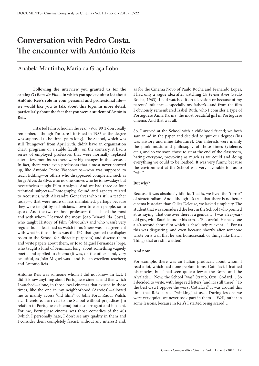## **Conversation with Pedro Costa. The encounter with António Reis**

## Anabela Moutinho, Maria da Graça Lobo

**Following the interview you granted us for the catalog** *Os Bons da Fita***—in which you spoke quite a lot about António Reis's role in your personal and professional life we would like you to talk about this topic in more detail, particularly about the fact that you were a student of António Reis.** 

I started Film School in the year '79 or '80 (I don't really remember, although I'm sure I finished in 1983 as the degree was supposed to be three years long). The School, which was still "hungover" from April 25th, didn't have an organization chart, programs or a stable faculty; on the contrary, it had a series of employed professors that were normally replaced after a few months, so there were big changes in this sense… In fact, there were even professors that almost never showed up, like António Pedro Vasconcelos—who was supposed to teach Editing—or others who disappeared completely, such as Jorge Alves da Silva, who no one knows who he is nowadays but nevertheless taught Film Analysis. And we had three or four technical subjects—Photography, Sound and aspects related to Acoustics, with Alexandre Gonçalves who is still a teacher today—, that were more or less maintained, perhaps because they were taught by technicians, down-to-earth people, so to speak. And the two or three professors that I liked the most and with whom I learned the most: João Bénard [da Costa], who taught History of Film (obviously) and who wasn't very regular but at least had us watch films (there was an agreement with what in those times was the IPC that granted the display room to the School for didactic purposes) and discuss them and write papers about them; or João Miguel Fernandes Jorge, who taught a kind of Seminars, long, about something vaguely poetic and applied to cinema (it was, on the other hand, very beautiful, as João Miguel was—and is—an excellent teacher); and António Reis.

António Reis was someone whom I did not know. In fact, I didn't know anything about Portuguese cinema; and that which I watched—alone, in those local cinemas that existed in those times, like the one in my neighborhood (Arroios)—allowed me to mainly access "old films" of John Ford, Raoul Walsh, etc. Therefore, I arrived to the School without prejudices [in relation to Portuguese cinema] but also arrogant and insolent. For me, Portuguese cinema was those comedies of the 40s (which I personally hate; I don't see any quality in them and I consider them completely fascist, without any interest) and, as for the Cinema Novo of Paulo Rocha and Fernando Lopes, I had only a vague idea after watching *Os Verdes Anos* (Paulo Rocha, 1963). I had watched it on television or because of my parents' influence—especially my father's—and from the film I obviously remembered Isabel Ruth, who I consider a type of Portuguese Anna Karina, the most beautiful girl in Portuguese cinema. And that was all.

So, I arrived at the School with a childhood friend; we both saw an ad in the paper and decided to quit our degrees (his was History and mine Literature). Our interests were mainly the punk music and philosophy of those times (violence, etc.), and so we soon chose to sit at the end of the classroom, hating everyone, provoking as much as we could and doing everything we could to be loathed. It was very funny, because the environment at the School was very favorable for us to  $\alpha_{\text{win}}$ "

## **But why?**

Because it was absolutely idiotic. That is, we lived the "terror" of structuralism. And although it's true that there is no better cinema historian than Gilles Deleuze, we lacked simplicity. The student that was considered the best in the School (who pointed at us saying 'That one over there is a genius…!') was a 22-yearold guy, with Bataille under his arm… 'Be careful! He has done a 40-second short film which is absolutely relevant…!' For us this was disgusting, and even because shortly after someone wrote on a wall that he was homosexual, or things like that… Things that are still written!

### **And now…**

For example, there was an Italian producer, about whom I read a lot, which had done peplum films, Cottafavi. I loathed his movies, but I had seen quite a few at the Roma and the Alvalade… Now, the School "was" Straub, Ozu, Godard… So I decided to write, with huge red letters (and it's still there) "To the best Ozu I oppose the worst Cottafavi." It was around this time that Reis started "winking" at us… During lessons we were very quiet, we never took part in them… Well, rather in some lessons, because in Reis's I started being scared…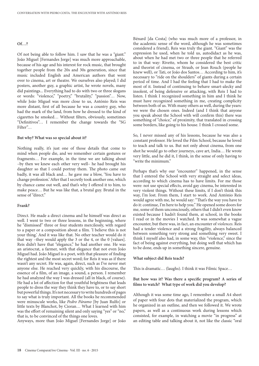### **Of…?**

Of not being able to follow him. I saw that he was a "giant." João Miguel [Fernandes Jorge] was much more approachable, because of his age and his interest for rock music, that brought together people from the 20s and 30s generation, since that music included English and American authors that went over to cinema, art or theatre. We ourselves also played; I did posters, another guy, a graphic artist, he wrote novels, many did paintings... Everything had to do with two or three slogans or words: "violence," "poetry," "brutality," "passion"… Now, while João Miguel was more close to us, António Reis was more distant, first of all because he was a country guy, who had the mark of the land, from how he dressed to the kind of cigarettes he smoked… Without filters, obviously, sometimes "Definitivos"… I remember the change towards the "SG  $Filter"$ 

### **But why? What was so special about it?**

Nothing really, it's just one of those details that come to mind when people die, and we remember certain gestures or fragments… For example, in the time we are talking about –by then we knew each other very well– he had brought his daughter so that I could portray them. The photo came out badly, it was all black and… he gave me a blow, 'You have to change profession.' After that I secretly took another one, which by chance came out well, and that's why I offered it to him, to make peace… But he was like that, a brutal guy. Brutal in the sense of "direct."

#### **Frank?**

Direct. He made a direct cinema and he himself was direct as well. I went to two or three lessons, in the beginning, where he "dismissed" three or four students mercilessly, with regard to a paper or a composition about a film. 'I believe this is not your thing.' And it was like that. No other teacher would do it that way –they would apply the 3 or the 4, or the 0 [values]. Reis didn't have that "elegance," he had another one. He was an aristocrat, a farmer, with that elegance that not even João Miguel had. João Miguel is a poet, with that pleasure of finding the rightest and the most secret word; for Reis it was as if there wasn't any secret. He was, again, direct, such as I've never met anyone else. He reached very quickly, with his discourse, the essence of a film, of an image, a sound, a person. I remember he had analyzed the way I was dressed (all in black, of course). He had a lot of affection for that youthful brightness that leads people to dress the way they think they have to, or to say short but powerful things. It's not necessary to write hundreds of pages to say what is truly important. All the books he recommended were minuscule works, like *Pedro Páramo* [by Juan Rulfo] or little texts by Blanchot, by Cioran… What I learned with him was the effort of remaining silent and only saying "yes" or "no," that is, to be convinced of the things one loves.

Anyways, more than João Miguel [Fernandes Jorge] or João

Bénard [da Costa] (who was much more of a professor, in the academic sense of the word, although he was sometimes considered a friend), Reis was truly the giant. "Giant" was the expression he used, when he told us, autodidact as he was, about when he had met two or three people that he referred to in that way: Rivette, whom he considered the best critic and theorist of cinema, or Straub, or Jean Rouch (people he knew well), or Tati, or João dos Santos… According to him, it's necessary to "ride on the shoulders" of giants during a certain period of time. And I had the feeling that I had to make the most of it. Instead of continuing to behave smart-alecky and insolent, of being defensive or attacking, with Reis I had to listen. I think I recognized something in him and I think he must have recognized something in me, creating complicity between both of us. With many others as well, during the years: we were the chosen ones. Indeed (and I think that anyone you speak about the School with will confirm this) there was something of "choice," of proximity, that translated in crossing some borders, like going to his house. I think I crossed some.

So, I never missed any of his lessons, because he was also a constant professor. He loved the Film School, because he loved to teach and talk to us. But not only about cinema, from one shot he would go to other journeys, cave art, India… He wrote very little, and he did it, I think, in the sense of only having to "write the minimum."

Perhaps that's why our "encounter" happened, in the sense that I entered the School with very straight and select ideas, according to which cinema has to have limits. For me those were: not use special effects, avoid gay cinema, be interested in very violent things. Without these limits, if I don't think this way, I'm lost. From them, I start to work. And António Reis would agree with me, he would say: "That's the way you have to do it: continue, I'm here to help you." He opened some doors for me, some of them unconsciously, others that I didn't even know existed because I hadn't found them, at school, in the books I read or in the movies I watched. It was somewhat a vague encounter, but there was, in fact, an encounter of *violences*. Reis had a tender violence and a strong fragility, always balanced between something very strong and something very sweet. I think I myself also had, in some way, this "violence," since the fact of being against everything, but doing well that which has to be done, ends up in something sincere, genuine.

#### **What subject did Reis teach?**

This is dramatic… (laughs). I think it was Filmic Space…

## **But how was it? Was there a specific program? A series of films to watch? What type of work did you develop?**

Although it was some time ago, I remember a small A4 sheet of paper with four dots that materialized the program, which he organized in an outline, and then we followed it. We wrote papers, as well as a continuous work during lessons which consisted, for example, in watching a movie "in progress" at an editing table and talking about it, not like the classic "oral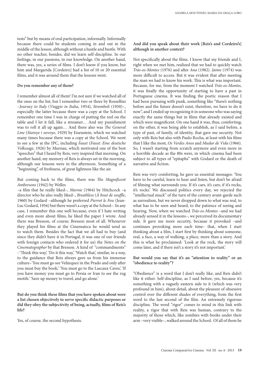tests" but by means of oral participation, informally. Informally because there could be students coming in and out in the middle of the lesson, although without a hustle and bustle. With no other teacher, besides, did we learn self-discipline. In our feelings, in our passions, in our knowledge. On another hand, there was, yes, a series of films. I don't know if you know, but him and Margarida [Cordeiro] had a list of 10 or 20 essential films, and it was around them that the lessons went.

### **Do you remember any of them?**

I remember almost all of them! I'm not sure if we watched all of the ones on the list, but I remember two or three by Rossellini –*Journey to Italy* (*Viaggio in Italia*, 1954), *Stromboli* (1950)–, especially the latter because there was a copy at the School. I remember one time I was in charge of putting the reel on the table and I let it fall, like a streamer… And my punishment was to roll it all up again… And there also was *The General Line* (*Staroye i novoye*, 1929) by Eisenstein, which we watched many times because there was a copy at the School. We went to see a few at the IPC, including *Faust* (*Faust: Eine deutsche Volkssage*, 1926) by Murnau, which motivated one of the best "speeches" that I heard by Reis, very inspired that morning. On another hand, my memory of Reis is always set in the morning, although our lessons were in the afternoon. Something of a "beginning", of freshness, of great lightness like the air.

But coming back to the films, there was *The Magnificent Ambersons* (1942) by Welles

–a film that he really liked–, *Marnie* (1964) by Hitchcock –a director who he also really liked–, *Breathless* (*À bout de souffle*, 1960) by Godard –although he preferred *Pierrot le Fou* (Jean-Luc Godard, 1956) but there wasn't a copy at the School–. In any case, I remember this one well because, even if I hate writing and even more about films, he liked the paper I wrote. And there was Bresson, of course; Bresson most of all. Whenever they played his films at the Cinemateca he would send us to watch them. Besides the fact that we all had to buy (and since they didn't have it in Portugal, it was one of our friends with foreign contacts who ordered it for us) the *Notes on the Cinematographer* by that Bresson. A kind of "commandments" –'Think this way,' 'Do it this way,' 'Watch that,' similar, in a way, to the guidance that Reis always gave us from his immense culture–'You must go see Velázquez in the Prado and only after you must buy the book,' 'You must go to the Lascaux Caves,' 'If you have money you must go to Persia or Iran to see the rug motifs.' 'Save up money to travel, and go alone.'

**But do you think these films that you have spoken about were a list chosen objectively to serve specific didactic purposes or did they obey the subjectivity of being, actually, films of Reis's life?** 

Yes, of course, the second hypothesis.

## **And did you speak about their work [Reis's and Cordeiro's] although in another context?**

Not specifically about the films. I know that my friends and I, right when we met him, realized that we had to quickly watch *Trás-os-Montes* (1976) and after *Ana* (1982). *Jaime* (1974) was more difficult to access. But it was evident that after meeting the man we had to know his work. This is what was important. Because, for me, from the moment I watched *Trás-os-Montes*, it was finally the opportunity of starting to have a past in Portuguese cinema. It was finding the poetic reason that I had been pursuing with punk, something like "there's nothing before and the future doesn't exist, therefore, we have to do it now", and I ended up recognizing it in someone who was saying exactly the same things but in films that already existed and which were magnificent. On one hand it was, thus, comforting; on the other, it was being able to establish, as I said before, a type of past, of family, of identity, that gave me security. Not only with Reis but also with Paulo Rocha, at least with his films that I like the most, *Os Verdes Anos* and *Mudar de Vida* (1966). So, I wasn't starting from scratch anymore and even more in a horrible decade as the 80s were, in which cinema had been subject to all types of "epitaphs" with Godard or the death of narrative and fiction.

Reis was very comforting, he gave us essential messages: 'You have to be careful, learn to hear and listen, but don't be afraid of filming what surrounds you. If it's cars, it's cars; if it's rocks, it's rocks.' We discussed politics every day, we rejected the "intellectual muck" of the turn of the century avant-garde such as surrealism, but we never dropped down to what was real, to what has to be seen and heard, to the patience of seeing and hearing. Now, when we watched *Trás-os-Montes* –and we had already sensed it in the lessons–, we perceived its documentary side. It gave me more security, because it provoked –and continues provoking more each time– that, when I start thinking about a film, I start first by thinking about someone, real, a face, a way of walking, a place, more than a story. And this is what he proclaimed: 'Look at the rock, the story will come later, and if there isn't a story it's not important.'

## **But would you say that it's an "attention to reality" or an "obedience to reality"?**

"Obedience" is a word that I don't really like, and Reis didn't like it either. Self-discipline, as I said before, yes, because it's something with a vaguely eastern side to it (which was very profound in him), about detail, about the pleasure of obsessive control over the different shades of everything, from the first word to the last second of the film. An extremely rigorous discipline. The word "rigor" comes to mind in this link with reality, a rigor that with Reis was human, contrary to the majority of those which, like zombies with books under their arm –very visible–, walked around the School. Of all of them he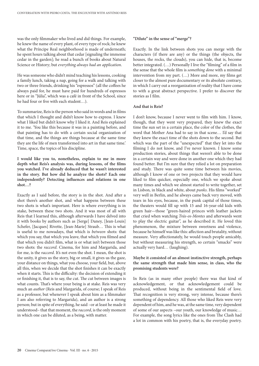was the only filmmaker who lived and did things. For example, he knew the name of every plant, of every type of rock; he knew what the Príncipe Real neighborhood is made of underneath; he spent hours talking about that cedar [signaling the immense cedar in the garden]; he read a bunch of books about Natural Science or History; but *everything always had an application*.

He was someone who didn't mind teaching his lessons, cooking a family lunch, taking a nap, going for a walk and talking with two or three friends, drinking his "espressos" (all the coffees he always paid for, he must have paid for hundreds of espressos here or in "Júlia", which was a café in front of the School, since he had four or five with each student…).

To summarize, Reis is the person who said in words and in films that which I thought and didn't know how to express. I knew what I liked but didn't know why I liked it. And Reis explained it to me. 'You like this because it was in a painting before, and that painting has to do with a certain social organization of that time, and the things are things because at the same time they are the life of men transformed into art in that same time.' Time, space, the topics of his discipline.

**I would like you to, nonetheless, explain to me in more depth what Reis's analysis was, during lessons, of the films you watched. I've already deduced that he wasn't interested in the story. But how did he analyze the shots? Each one independently? Detecting influences and relations in one shot…?** 

Exactly as I said before, the story is in the shot. And after a shot there's another shot, and what happens between these two shots is what's important. Here is where everything is in stake, between these two shots. And it was most of all with Reis that I learned this, although afterwards I have delved into it with books by authors such as [Serge] Daney, [Jean-Louis] Schefer, [Jacques] Rivette, [Jean-Marie] Straub… This is what is useful to me nowadays, that which is *between* shots: that which you say, that which you leave, that which you filmed and that which you didn't film, what is or what isn't between those two shots: the *raccord*. Cinema, for him and Margarida, and for me, is the *raccord*. It's not even the shot. I mean, the shot is the unity, it gives us the story, big or small, it gives us the gaze, your distance on things, what you choose, your field, but, above all this, when we decide that the shot finishes it can be exactly when it starts. This is the difficulty: the decision of extending it or finishing it, that is to say, the cut. The cut between images is what counts. That's where your being is at stake. Reis was very much an *author* (Reis and Margarida, of course; I speak of Reis as a professor, but whenever I speak about him as a filmmaker I am also referring to Margarida), and an author is a strong person; but in spite of everything, he said –or at least he made it understood– that that moment, the *raccord*, is the only moment in which one can be diluted, as a being, with matter.

### **"Dilute" in the sense of "merge"?**

Exactly. In the link between shots you can merge with the characters (if there are any) or the things (the objects, the houses, the rocks, the clouds), you can hide, that is, become better integrated. (…) Personally I live the "filming" of a film in the sense that the whole film is *something done* with a minimal intervention from my part. (…) More and more, my films get closer to the almost pure documentary or its absolute contrary, in which I carry out a reorganization of reality that I have come to with a great abstract perspective. I prefer to discover the stories as I film.

### **And that is Reis?**

I don't know, because I never went to film with him. I know, though, that they went very prepared, they knew the exact time the sun set in a certain place, the color of the clothes, the word that Mother Ana had to say in that scene… I'd say that they knew the exact time of the shots down to the second. But which was the part of the "unexpected" that they let into the filming I do not know, and I've never known. I know some production stories, about things that weren't able to be done in a certain way and were done in another one which they had found better. But I'm sure that they relied a lot on preparation and study. There was quite some time between his movies, although I know of one or two projects that they would have liked to film quicker, especially one, which we spoke about many times and which we almost started to write together, set in Lisbon, in black and white, about *punks*. His films "worked" very well in Berlin, and he always came back very moved, with tears in his eyes, because, in the punk capital of those times, the theaters would fill up with 15 and 16-year-old kids with green hair—those "green-haired princes with leather jackets that cried when watching *Trás-os-Montes* and afterwards went to play the electric guitar", as he described it. He loved this phenomenon, the mixture between sweetness and violence, because he himself was like this: affection and brutality, without measure. Very affectionately, he would touch people amicably, but without measuring his strength, so certain "smacks" were actually very hard… (laughing).

## **Maybe it consisted of an almost instinctive strength, perhaps the same strength that made him sense, in class, who the promising students were?**

In Reis (as in many other people) there was that kind of acknowledgement, or that acknowledgement could be produced, without being in the sentimental field of love. That recognition is very strong, very intense, because there's something of dependency. All those who liked Reis were very dependent of him, and he was, at the same time, very dependent of some of our aspects –our youth, our knowledge of music… For example, the song lyrics like the ones from The Clash had a lot in common with his poetry, that is, the everyday poetry.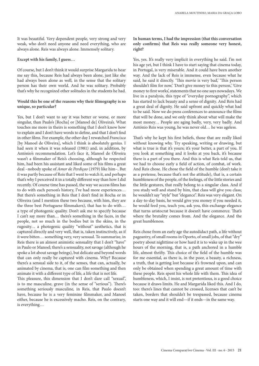It was beautiful. Very dependent people, very strong and very weak, who don't need anyone and need everything, who are always alone. Reis was always alone. Immensely solitary.

### **Except with his family, I guess…**

Of course, but I don't think it would surprise Margarida to hear me say this, because Reis had always been alone, just like she had always been alone as well, in the sense that the solitary person has their own world. And he was solitary. Probably that's why he recognized other solitudes in the students he had.

## **Would this be one of the reasons why their filmography is so unique, so particular?**

Yes, but I don't want to say it was better or worse, or more singular, than Paulo's [Rocha] or [Manoel de] Oliveira's. What touches me more in theirs is something that I don't know how to explain and I don't have words to define, and that I don't find in other films. For example, the other day I rewatched *Francisca* [by Manoel de Oliveira], which I think is absolutely genius. I had seen it when it was released (1981) and, in addition, by António's recommendation. Let's face it, Manoel de Oliveira wasn't a filmmaker of Reis's choosing, although he respected him, had been his assistant and liked some of his films a great deal –nobody spoke of *Amor de Perdiçao* (1979) like him–. But it was partly because of Reis that I went to watch it, and perhaps that's why I perceived it in a totally different way than how I did recently. Of course time has passed, the way we access films has to do with each person's history, I've had more experiences… But there's something in Reis that I don't find in Rocha or in Oliveira (and I mention these two because, with him, they are the three best Portuguese filmmakers), that has to do with… a type of photogenic quality. Don't ask me to specify because I can't say more than… there's something in the faces, in the people, not so much in the bodies but in the skins, in the rugosity… a photogenic quality "without" aesthetics, that is captured directly and very well, that is, taken instinctively, as if it were bitten… something very, very sensual. To summarize, in Reis there is an almost animistic sensuality that I don't "have" in Paulo or Manoel; there's a sensuality, not savage (although he spoke a lot about savage beings), but delicate and beyond words that can only really be captured with cinema. Why? Because there's a sensual side to it, of the senses, that can, actually, be animated by cinema, that is, one can film something and then animate it with a different type of life, a life that is not life.

This pleasure, this dimension that I don't dare call "sexual", is to me masculine, grave (in the sense of "serious"). There's something seriously masculine, in Reis, that Paulo doesn't have, because he is a very feminine filmmaker, and Manoel either, because he is excessively macho. Reis, on the contrary, is everything…

**In human terms, I had the impression (that this conversation only confirms) that Reis was really someone very honest, right?** 

Yes, yes. It's really very implicit in everything he said. I'm not his age yet, but I think I have to start saying that cinema today, in Portugal, is very miserable. And it could have been another way. And the lack of Reis is immense, even because what he said, he said it directly. 'This movie is very bad,' 'This person shouldn't film for now,' 'Don't give money to this person,' 'Give money to first works', statements that no one says nowadays. We live in a paralysis, this type of "everyday pornography", which has started to lack beauty and a sense of dignity. And Reis had a great deal of dignity. He said upfront and quickly what had to be said. Now we do press conferences to announce the films that will be done, and we only think about what will make the most money… People are aging badly, very, very badly. And António Reis was young, he was never old… he was ageless.

That's why he kept his first beliefs, those that are really liked without knowing why. Try speaking, writing or drawing, but what is true is that it's yours; it's your better, a part of you. If you look at something and it looks at you back, it's because there is a part of you there. And this is what Reis told us, that we had to choose early a field of action, of combat, of work. And Reis chose. He chose the field of the humble (don't take it as a pretense, because that's not the attitude), that is, a certain humbleness of the people, of the feelings, of the little stories and the little gestures, that really belong to a singular class. And if you study well and stand by him, that class will give you class; he wouldn't say "style" but "elegance". Reis was very elegant. On a day-to-day basis, he would give you money if you needed it, he would feed you, teach you, ask you, this exchange elegance that turns aristocrat because it doesn't have commerce. That's where the brutality comes from. And the elegance. And the great humbleness.

Reis chose from an early age the autodidact path, a life without pageantry, of small rooms in Oporto, of small jobs, of that "dry" poetry about nighttime or how hard it is to wake up in the wee hours of the morning, that is, a path anchored in a humble life, almost thrifty. This choice of the field of the humble was for me essential, as there is, in the poor, a beauty, a richness, a truth, that is getting lost because it's frowned upon, and can only be obtained when spending a great amount of time with these people. Reis spent his whole life with them. This idea of humbleness, which, I insist, is not pretentious, is a good choice because it draws limits. He and Margarida liked this. And I do, too: there's lines that cannot be crossed, licenses that can't be taken, borders that shouldn't be trespassed, because cinema starts one way and it will end—if it ends—in the same way.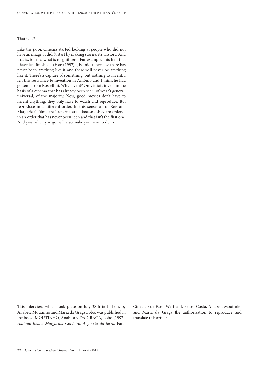### **That is…?**

Like the poor. Cinema started looking at people who did not have an image, it didn't start by making stories: it's History. And that is, for me, what is magnificent. For example, this film that I have just finished –*Ossos* (1997)–, is unique because there has never been anything like it and there will never be anything like it. There's a capture of something, but nothing to invent. I felt this resistance to invention in António and I think he had gotten it from Rossellini. Why invent? Only idiots invent in the basis of a cinema that has already been seen, of what's general, universal, of the majority. Now, good movies don't have to invent anything, they only have to watch and reproduce. But reproduce in a different order. In this sense, all of Reis and Margarida's films are "supernatural", because they are ordered in an order that has never been seen and that isn't the first one. And you, when you go, will also make your own order. •

This interview, which took place on July 28th in Lisbon, by Anabela Moutinho and Maria da Graça Lobo, was published in the book: MOUTINHO, Anabela y DA GRAÇA, Lobo (1997). *António Reis e Margarida Cordeiro. A poesia da terra.* Faro: Cineclub de Faro. We thank Pedro Costa, Anabela Moutinho and Maria da Graça the authorization to reproduce and translate this article.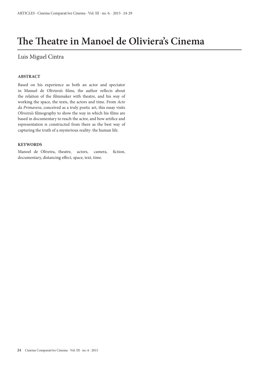## **The Theatre in Manoel de Oliviera's Cinema**

## Luis Miguel Cintra

## **ABSTRACT**

Based on his experience as both an actor and spectator in Manuel de Oliviera's films, the author reflects about the relation of the filmmaker with theatre, and his way of working the space, the texts, the actors and time. From *Acto da Primavera*, conceived as a truly poetic art, this essay visits Oliveira's filmography to show the way in which his films are based in documentary to reach the actor, and how artifice and representation is constructed from there as the best way of capturing the truth of a mysterious reality: the human life.

## **KEYWORDS**

Manoel de Oliveira, theatre, actors, camera, fiction, documentary, distancing effect, space, text, time.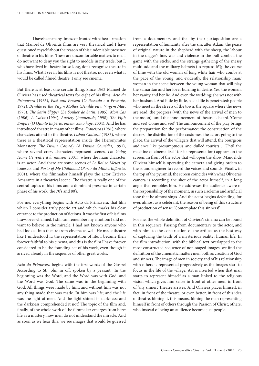I have been many times confronted with the affirmation that Manoel de Oliveira's films are very theatrical and I have questioned myself about the reason of this undeniable presence of theatre in his films. These are uncomfortable matters to me. I do not want to deny you the right to meddle in my trade, but I, who have lived in theatre for so long, don't recognize theatre in his films. What I see in his films is not theatre, not even what it would be called filmed theatre. I only see cinema.

But there is at least one certain thing. Since 1963 Manoel de Oliviera has used theatrical texts for eight of his films: *Acto da Primavera* (1963), *Past and Present* (*O Passado e o Presente*, 1972), *Benilde or the Virgin Mother* (*Benilde ou a Virgem Mãe*, 1975), *The Satin Slipper* (*Le Soulier de Satin*, 1985), *Mon Cas* (1986), *A Caixa* (1994), *Anxiety* (*Inquietude*, 1998), *The Fifth Empire* (*O Quinto Império, ontem como hoje*, 2004). And he has introduced theatre in many other films: *Francisca* (1981), where characters attend to the theatre, *Lisboa Cultural* (1983), where there is a theatrical representation inside the Hieronymites Monastery, *The Divine Comedy* (*A Divina Comédia*, 1991), where several crazy characters represent scenes, *I'm Going Home* (*Je rentre à la maison*, 2001), where the main character is an actor. And there are some scenes of *Le Roi se Meurt* by Ionesco, and *Porto of My Childhood* (*Porto da Minha Infância*, 2001), where the filmmaker himself plays the actor Estêvão Amarante in a theatrical scene. The theatre is really one of the central topics of his films and a dominant presence in certain phase of his work, the 70's and 80's.

For me, everything begins with Acto da Primavera, that film which I consider truly poetic art and which marks his clear entrance to the production of fictions. It was the first of his films I saw, overwhelmed. I still can remember my emotion: I did not want to believe in the miracle. I had not known anyone who had looked into theatre from cinema as well. He made theatre like I understood it: the representation of life. I became then forever faithful to his cinema, and this is the film I have forever considered to be the founding act of his work, even though it arrived already in the sequence of other great works.

*Acto da Primavera* begins with the first words of the Gospel According to St. John in off, spoken by a peasant: 'In the beginning was the Word, and the Word was with God, and the Word was God. The same was in the beginning with God. All things were made by him; and without him was not any thing made that was made. In him was life; and the life was the light of men. And the light shined in darkness; and the darkness comprehended it not.' The topic of the film and, finally, of the whole work of the filmmaker emerges from here: life as a mystery, how men do not understand the miracle. And as soon as we hear this, we see images that would be guessed

from a documentary and that by their juxtaposition are a representation of humanity after the sin, after Adam: the peace of original nature in the shepherd with the sheep, the labour in the digger's hoe, war and violence in the bull combat, the game with the sticks, and the strange gathering of the messy multitude and the military helmets (to repress it?); the course of time with the old woman of long white hair who combs at the pace of the young, and evidently, the relationship man/ woman in the scene between the young woman that will play the Samaritan and her lover burning in desire. Yes, the woman, her vanity and her lie. And even the wedding: she was not with her husband. And little by little, social life is penetrated: people who meet in the streets of the town, the square where the news are read, the progress (with the news of the arrival of men to the moon), until the announcement of theatre is heard. 'Come and see! Come and see!' The announcement of the play brings the preparation for the performance: the construction of the decors, the distribution of the costumes, the actors going to the place, the arrival of the villagers that will attend, the bourgeois audience like presumptuous and dulled tourists… Until the machine of cinema itself (or its representation) appears on the screen: In front of the actor that will open the show, Manoel de Oliviera himself is operating the camera and giving orders to the sound engineer to record the voices and sounds. Finally, in the top of the pyramid, the screen coincides with what Oliviera's camera is recording: the shot of the actor himself, in a long angle that ennobles him. He addresses the audience aware of the responsibility of the moment, in such a solemn and artificial tone that he almost sings. And the actor begins defending, for ever, almost as a celebrant, the reason of being of this structure of production of sense: 'Contemplate this sinners!'

For me, the whole definition of Oliviera's cinema can be found in this sequence. Passing from documentary to the actor, and with him, to the construction of the artifice as the best way of capturing the truth of a mysterious reality: human life. In the film introduction, with the biblical text overlapped to the most constructed sequence of non-staged images, we find the definition of the cinematic matter: men both as creation of God and sinners. The image of men in society and of his relationship with others is represented progressively as the images start to focus in the life of the village. Art is inserted when that man starts to represent himself as a man linked to the religious vision which gives him sense in front of other men, in front of 'any sinner'. Theatre arrives. And Oliviera places himself, in fact, in front of the theatre, or even better, in front of this idea of theatre, filming it, this means, filming the man representing himself in front of others through the Passion of Christ; others, who instead of being an audience become just people.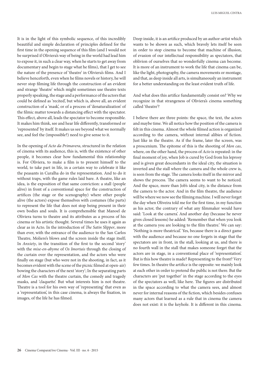It is in the light of this symbolic sequence, of this incredibly beautiful and simple declaration of principles defined for the first time in the opening sequence of this film (and I would not be surprised if Oliviera's way of being in the world had lead him to expose it, in such a clear way, when he starts to get away from documentary and begin to stage what he films), that I get to see the nature of the presence of 'theatre' in Oliviera's films. And I believe henceforth, even when he films novels or history, he will never stop filming life through the construction of an evident and strange 'theatre' which might sometimes use theatre texts properly speaking, the stage and a performance of the actors that could be defined as 'recited', but which is, above all, an evident construction of a 'mask', or of a process of 'denaturalization' of the filmic matter towards a distancing effect with the spectator. This effect, above all, leads the spectator to become responsible. It makes him think, see and hear life differently, transformed or 'represented' by itself. It makes us see beyond what we normally see, and feel the (impossible?) need to give sense to it.

In the opening of *Acto da Primavera*, structured in the relation of cinema with its audience, this is, with the existence of other people, it becomes clear how fundamental this relationship is. For Oliviera, to make a film is to present himself to the world, to take part in life, in a certain way to celebrate it like the peasants in Curalha do in the representation. And to do it without traps, with the game rules laid bare. A theatre, like an idea, is the exposition of that same conviction: a stall (people alive) in front of a conventional space for the construction of artifices (the stage or the scenography) where other people alive (the actors) expose themselves with costumes (the parts) to represent the life that does not stop being present in their own bodies and souls. It is comprehensible that Manoel de Oliviera turns to theatre and its attributes as a process of his cinema or his artistic thought. Several times he uses it again as clear as in Acto. In the introduction of *The Satin Slipper*, more than ever, with the entrance of the audience to the San Carlos Theatre, Moliere's blows and the screen inside the stage itself; In *Anxiety*, in the transition of the first to the second 'story' with the *mise-en-abyme* of *Os Imortais* through the closing of the curtain over the representation, and the actors who were finally on stage (but who were not in the shooting, in fact, as it becomes evident with the scene of the picnic filmed at open-air) bowing the characters of the next 'story'; In the separating parts of *Mon Cas* with the theatre curtain, the comedy and tragedy masks, and 'claquette'. But what interests him is not theatre. Theatre is a tool for his own way of 'representing' that even as a 'representation', in this case cinema, is always the fixation, in images, of the life he has filmed.

Deep inside, it is an artifice produced by an author-artist which wants to be shown as such, which bravely lets itself be seen in order to stop cinema to become that machine of illusion, of evasion of our intellectual responsibility as spectators, that oblivion of ourselves that so wonderfully cinema can become. It is more of an instrument to work the life that cinema can be, like the light, photography, the camera movements or montage, and that, as deep inside all arts, is simultaneously an instrument for a better understanding on the least evident truth of life.

And what does this artifice fundamentally consist on? Why we recognize in that strangeness of Oliviera's cinema something called 'theatre'?

I believe there are three points: the space, the text, the actors and maybe time. We all notice how the position of the camera is felt in this cinema. Almost the whole filmed action is organized according to the camera, without internal alibies of fiction. Just like in the theatre. As if the frame, later the screen, was a proscenium. The epitome of this is the shooting of *Mon cas*, where, on the other hand, the process of *Acto* is repeated: in the final moment of joy, when Job is cured by God from his leprosy and is given great descendants in the ideal city, the situation is inverted and the stall where the camera and the whole crew is, is seen from the stage. The camera looks itself in the mirror and shows the process. The camera seems to want to be noticed. And the space, more than Job's ideal city, is the distance from the camera to the actor. And in the film theatre, the audience will be where we now see the filming machine. I will never forget the day when Oliveira told me for the first time, in my function as his actor, the contrary of what any filmmaker would have said: 'Look at the camera'. And another day (because he never gives closed lessons) he added: 'Remember that when you look at the camera you are looking to the film theatre.' We can say: 'Nothing is more theatrical.' Yes, because there is a direct game with the audience and because no one forgets in stage that the spectators are in front, in the stall, looking at us, and there is no fourth wall in the stall that makes someone forget that the actors are in stage, in a conventional place of 'representation'. But is this how theatre is made? Representing to the front? Very few times. In theatre the artifice is the opposite: we mainly look at each other in order to pretend the public is not there. But the characters are 'put together' in the stage according to the eyes of the spectators as well, like here. The figures are distributed in the space according to what the camera sees, and almost never for internal reasons of the fiction, which besides confuses many actors that learned as a rule that in cinema the camera does not exist: it is the keyhole. It is different in this cinema.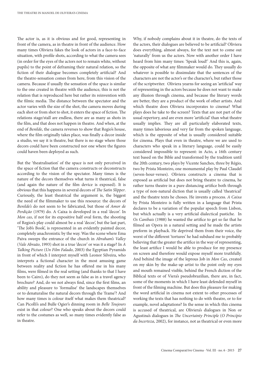The actor is, as it is obvious and for good, representing in front of the camera, as in theatre in front of the audience. How many times Oliviera fakes the look of actors in a face-to-face situation, with profile shots, according to what the camera sees (in order for the eyes of the actors not to remain white, without pupils) to the point of deframing their natural relation, so the fiction of their dialogue becomes completely artificial? And the theatre-sensation comes from here, from this vision of the camera. Because if usually the sensation of the space is similar to the one created in theatre with the audience, this is not the relation that is reproduced here but rather its reinvention with the filmic media. The distance between the spectator and the actor varies with the size of the shot, the camera moves during each shot or from shot to shot, it enters the space of fiction. The relations stage/stall are endless, there are as many as shots in the film, and that does not happen in theatre. And when, at the end of *Benilde*, the camera reverses to show that Regio's house, where the film originally takes place, was finally a decor inside a studio, we say it is theatre, but there is no stage where those decors could have been constructed nor one where the figures could haven been deployed as such.

But the 'theatralisation' of the space is not only perceived in the space of fiction that the camera constructs or deconstructs according to the vision of the spectator. Many times is the nature of the decors themselves what turns it theatrical, false (and again the nature of the film device is exposed). It is obvious that this happens in several decors of *The Satin Slipper*. Curiously, the least theatrical the argument is, the biggest the need of the filmmaker to use this resource: the decors of *Benilde's* do not seem to be fabricated, but those of *Amor de Perdição* (1979) do. A Caixa is developed in a real 'decor'. In *Mon cas*, if not for its expositive half oval form, the shooting of Regios's play could almost be a real 'decor', but the last part, 'The Job's Book', is represented in an evidently painted decor, completely anachronistic by the way. Was the scene where Ema Paiva sweeps the entrance of the church in *Abraham's Valley* (*Vale Abraão*, 1993) shot in a true 'decor' or was it a stage? In *A Talking Picture* (*Un Film Falado*, 2003) the Egyptian Pyramids in front of which I interpret myself with Leonor Silveira, who interprets a fictional character in the most amusing game between reality and fiction he has offered me in his many films, were filmed in the real setting (and thanks to that I have been to Cairo), do they not seem as false as in a travel agency brochure? And, do we not always find, since the first films, an ability and pleasure to 'formalise' the landscapes themselves or to denaturalise the natural decors through the 'frame'? And how many times is colour itself what makes them theatrical? Can Picolli's and Bulle Ogier's dinning room in *Belle Toujours* exist in that colour? One who speaks about the decors could refer to the costumes as well, so many times evidently false as in theatre.

Why, if nobody complains about it in theatre, do the texts of the actors, their dialogues are believed to be artificial? Oliviera does everything, almost always, for the text not to come out 'naturally' from us the actors. Now with another order I have heard from him many times: 'Speak loud!' And this is, again, the opposite of what any filmmaker would do. They usually do whatever is possible to dissimulate that the sentences of the characters are not the actor's or the character's, but rather those of the scriptwriter. Oliviera yearns for seeing an 'artificial' way of representing in the actors because he does not want to make any illusion through cinema, and because the literary words are better, they are a product of the work of other artists. And which theatre does Oliviera incorporates to cinema? What plays does he take to the screen? Texts that are not part of the usual repertory, and are even more 'artificial' than what theatre usually implies. They are all particularly elaborated texts, many times laborious and very far from the spoken language, which is the opposite of what is usually considered suitable for cinema. Plays that even in theatre, where we are used to characters who speak in a literary language, could be easily considered impossible to represent: in Acto, a 16th century text based on the Bible and transformed by the tradition until the 20th century, two plays by Vicente Sanches, three by Régio, two by Prista Monteiro, one monumental play by Paul Claudel (seven-hour-verses). Oliviera constructs a cinema that is exposed as artificial but does not bring theatre to cinema, he rather turns theatre in a pure distancing artifice both through a type of non-natural diction that is usually called 'theatrical' and the theatre texts he choses. He invents a process. *A Caixa* by Prista Monteiro is fully written in a language that Prista declares to be a variation of the popular speech from Lisbon, but which actually is a very artificial dialectical pastiche. In *Os Canibais* (1988) he wanted the artifice to get so far that he filmed an Opera in a natural setting and he made the artists preform in playback. He deprived them from their voice, the worst of the different 'tortures' he had subdued me to probably believing that the greater the artifice in the way of representing, the least artifice I would be able to produce for my presence on screen and therefore would expose myself more truthfully. And behind the image of the leprous Job in *Mon Cas*, created on my skin by the make-up artist to the point only my eyes and mouth remained visible, behind the French diction of the Biblical texts or of Viera's pseudobrazilian, there are, in fact, some of the moments in which I have least defended myself in front of the filming machine. But does this pleasure for making the word artificial in cinema not extent to other processes of working the texts that has nothing to do with theatre, or to for example, novel adaptations? In the sense in which this cinema is accused of theatrical, are Oliviera's dialogues in Non or Agustina's dialogues in *The Uncertainty Principle* (*O Princípio da Incerteza*, 2002), for instance, not as theatrical or even more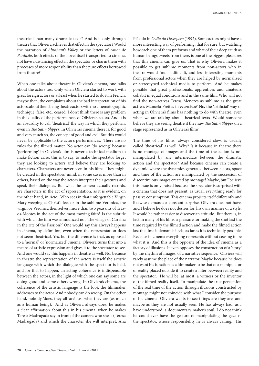theatrical than many dramatic texts? And is it only through theatre that Oliviera achieves that effect in the spectator? Would the narration of *Abraham's Valley* or the letters of *Amor de Perdição*, both effects of the novel itself transported to cinema, not have a distancing effect in the spectator or charm them with processes of more responsibility than the pure effects borrowed from theatre?

When one talks about theatre in Oliviera's cinema, one talks about the actors too. Only when Oliviera started to work with great foreign actors or at least when he started to do it in French, maybe then, the complaints about the bad interpretation of his actors, about them being theatre actors with no cinematographic technique, false, etc., ceased. I don't think there is any problem in the quality of the performances of Oliviera's actors. And it is an absurdity to call 'theatrical' the way in which they perform, even in *The Satin Slipper*. In Oliviera's cinema there is, for good and very much so, the concept of good and evil. But this would never be applicable to the actor's performances. There are no rules for the filmed matter. No actor can 'do wrong' because 'performing' in Oliviera's film is never a technical medium to make fiction arise, this is to say, to make the spectator forget they are looking to actors and believe they are looking to characters. Characters are never seen in his films. They might be created in the spectators' mind, in some cases more than in others, based on the way the actors interpret their gestures and speak their dialogues. But what the camera actually records, are characters in the act of representation, as it is evident, on the other hand, in *Acto*. Who sees in that unforgettable Virgin Mary weeping at Christ's feet or in the sublime Veronica, the virgin or Veronica themselves, more than two peasants of Trásos-Montes in the act of the most moving faith? Is the subtitle with which the film was announced not 'The village of Curalha in the rite of the Passion?' One would say this always happens in cinema, by definition, even when the representation does not seem theatrical. Yes, but the difference is that, as opposed to a 'normal' or 'normalized' cinema, Oliviera turns that into a means of artistic expression and gives it to the spectator to see. And one would say this happens in theatre as well. No, because in theatre the representation of the actors is itself the artistic language with which the dialogue with the spectator is held, and for that to happen, an acting coherence is indispensable between the actors, in the light of which one can say some are doing good and some others wrong. In Oliviera's cinema, the coherence of the artistic language is the look the filmmaker addresses to the actor. And nobody can do wrong. On the other hand, nobody 'does', they all 'are' just what they are (as much as a human being). And as Oliviera always does, he makes a clear affirmation about this in his cinema: when he makes Teresa Madrugada say in front of the camera who she is (Teresa Madrugada) and which the character she will interpret, Ana

Plácido in *O dia do Desespero* (1992). Some actors might have a more interesting way of performing, that for sure, but watching how each one of them preforms and what of their deep truth as human beings sweets from there, is one of the biggest pleasures that this cinema can give us. That is why Oliviera makes it possible to get sublime moments from non-actors who in theatre would find it difficult, and less interesting moments from professional actors when they are helped by normalized or stereotyped technical media to perform. And he makes possible that great professionals, apprentices and amateurs cohabit in equal conditions and in the same film. Who will not find the non-actress Teresa Menezes as sublime as the great actress Manuela Freitas in *Francisca*? No, the 'artificial' way of acting in Oliviera's films has nothing to do with theatre, even when we are talking about theatrical texts. Would someone believe they are seeing theatre if they saw *The Satin Slipper* on a stage represented as in Oliviera's film?

The time of his films, always considered slow, is usually called 'theatrical' as well. Why? Is it because in theatre there is no montage of images and the time of the action is not manipulated by any intermediate between the dramatic action and the spectator? And because cinema can create a dynamic where the dynamics generated between actors, space and time of the action are manipulated by the succession of discontinuous images created by montage? Maybe, but I believe this issue is only raised because the spectator is surprised with a cinema that does not present, as usual, everything ready for passive consumption. This cinema projects itself differently and likewise demands a constant surprise. Oliviera does not have, and I believe he does not desires for, his own manner or a style. It would be rather easier to discover an attitude. But there is, in fact in many of his films, a pleasure for making the shot last the time required by the filmed action and make the filmed action last the time it demands itself, as far as it is technically possible. Because in cinema everything represents without ceasing to be what it is. And this is the opposite of the idea of cinema as a factory of illusions. It even opposes the construction of a 'story' by the rhythm of images, of a narrative sequence. Oliviera will rarely assume the place of the narrator. Maybe because he does not want his function as a filmmaker to be that of a manipulator of reality placed outside it to create a filter between reality and the spectator. He will be, at most, a witness or the inventor of the filmed reality itself. To manipulate the true perception of the real time of the action through illusions constructed by montage might not coincide with what I consider the purpose of his cinema. Oliviera wants to see things are they are, and maybe as they are not usually seen. He has always had, as I have understood, a documentary maker's soul. I do not think he could ever have the gesture of manipulating the gaze of the spectator, whose responsibility he is always calling. His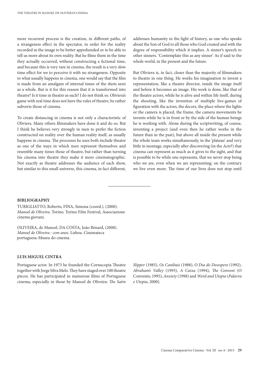more recurrent process is the creation, in different paths, of a strangeness effect in the spectator, in order for the reality recorded in the image to be better apprehended or to be able to tell us more about its own reality. But he films them in the time they actually occurred, without constructing a fictional time, and because this is very rare in cinema, the result is a very slow time effect for we to perceive it with no strangeness. Opposite to what usually happens in cinema, one would say that the film is made from an amalgam of internal times of the shots seen as a whole. But is it for this reason that it is transformed into theatre? Is it time in theatre as such? I do not think so. Oliviera's game with real time does not have the rules of theatre, he rather subverts those of cinema.

To create distancing in cinema is not only a characteristic of Oliviera. Many others filmmakers have done it and do so. But I think he believes very strongly in men to prefer the fiction constructed on reality over the human reality itself, as usually happens in cinema. The processes he uses both include theatre as one of the ways in which men represent themselves and resemble many times those of theatre, but rather than turning his cinema into theatre they make it more cinematographic. Not exactly as theatre addresses the audience of each show, but similar to this small universe, this cinema, in fact different,

addresses humanity in the light of history, as one who speaks about the Son of God to all those who God created and with the degree of responsibility which it implies. A sinner's speech to other sinners. 'Contemplate this as any sinner' As if said to the whole world, in the present and the future.

But Oliviera is, in fact, closer than the majority of filmmakers to theatre in one thing. He works his imagination to invent a representation, like a theatre director, inside the image itself and before it becomes an image. His work is done, like that of the theatre actors, while he is alive and within life itself, during the shooting, like the invention of multiple live-games of figuration with the actors, the decors, the place where the lights or the camera is placed, the frame, the camera movements he invents while he is in front or by the side of the human beings he is working with. Alone during the scriptwriting, of course, inventing a project (and even then he rather works in the future than in the past), but above all inside the present while the whole team works simultaneously, in the 'plateau' and very little in montage, especially after discovering (in the *Acto*?) that cinema can represent as much as it gives to the sight, and that is possible to be while one represents, that we never stop being who we are, even when we are representing: on the contrary we live even more. The time of our lives does not stop until

### **BIBLIOGRAPHY**

TURIGLIATTO, Roberto, FINA, Simona (coord.), (2000). *Manoel de Oliveira*. Torino. Torino Film Festival, Associazione cinema giovani.

OLIVEIRA, de Manoel, DA COSTA, João Bénard, (2008). *Manoel de Oliveira : cem anos*. Lisboa. Cinemateca portuguesa-Museu do cinema.

## **LUIS MIGUEL CINTRA**

Portuguese actor. In 1973 he founded the Cornucopia Theatre together with Jorge Silva Melo. They have staged over 100 theatre pieces. He has participated in numerous films of Portuguese cinema, especially in those by Manoel de Oliveira: *The Satin* 

*Slipper* (1985), *Os Canibais* (1988), *O Dia do Desespero* (1992), *Abraham's Valley* (1993), *A Caixa* (1994), *The Convent* (O Convento, 1995), *Anxiety* (1998) and *Word and Utopia* (*Palavra e Utopia*, 2000).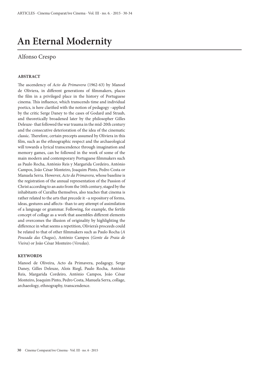## **An Eternal Modernity**

## Alfonso Crespo

## **ABSTRACT**

The ascendency of *Acto da Primavera* (1962-63) by Manoel de Oliviera, in different generations of filmmakers, places the film in a privileged place in the history of Portuguese cinema. This influence, which transcends time and individual poetics, is here clarified with the notion of pedagogy –applied by the critic Serge Daney to the cases of Godard and Straub, and theoretically broadened later by the philosopher Gilles Deleuze- that followed the war trauma in the mid-20th century and the consecutive deterioration of the idea of the cinematic classic. Therefore, certain precepts assumed by Oliviera in this film, such as the ethnographic respect and the archaeological will towards a lyrical transcendence through imagination and memory games, can be followed in the work of some of the main modern and contemporary Portuguese filmmakers such as Paulo Rocha, António Reis y Margarida Cordeiro, António Campos, João César Monteiro, Joaquim Pinto, Pedro Costa or Manuela Serra. However, *Acto da Primavera*, whose baseline is the registration of the annual representation of the Passion of Christ according to an auto from the 16th century, staged by the inhabitants of Curalha themselves, also teaches that cinema is rather related to the arts that precede it –a repository of forms, ideas, gestures and affects- than to any attempt of assimilation of a language or grammar. Following, for example, the fertile concept of collage as a work that assembles different elements and overcomes the illusion of originality by highlighting the difference in what seems a repetition, Oliviera's proceeds could be related to that of other filmmakers such as Paulo Rocha (*A Pousada das Chagas*), António Campos (*Gente da Praia de Vieira*) or João César Monteiro (*Veredas*).

### **KEYWORDS**

Manoel de Oliveira, Acto da Primavera, pedagogy, Serge Daney, Gilles Deleuze, Alois Riegl, Paulo Rocha, António Reis, Margarida Cordeiro, António Campos, João César Monteiro, Joaquim Pinto, Pedro Costa, Manuela Serra, collage, archaeology, ethnography, transcendence.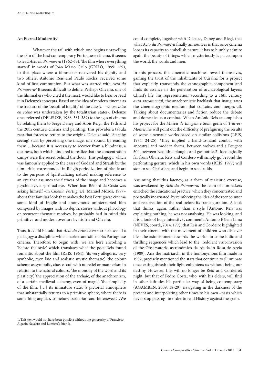### **An Eternal Modernity1**

Whatever the tail with which one begins unravelling the skin of the best contemporary Portuguese cinema, it seems to lead *Acto da Primavera* (1962-63), 'the film where everything started' in words of João Mário Grilo (GRILO, 1999: 129), to that place where a filmmaker recovered his dignity and two others, Antonio Reis and Paulo Rocha, received some kind of first communion. But what was started with *Acto da Primavera*? It seems difficult to define. Perhaps Oliveira, one of the filmmakers who cited it the most, would like to hear or read it in Deleuze's concepts. Based on the idea of modern cinema as the fracture of the 'beautiful totality' of the classic – whose *mise en scène* was undertaken by the totalitarian states-, Deleuze once referred (DELEUZE, 1986: 381-389) to the ages of cinema by relating them to Serge Daney and Alois Reigl, the 19th and the 20th century, cinema and painting. This provides a tabula rasa that forces to return to the origins. Deleuze said: 'Start by seeing', start by perceiving one image, one sound, by reading them… because it is necessary to recover from a blindness, a deafness, both which hindered to realize that the concentration camps were the secret behind the door. This pedagogy, which was famously applied to the cases of Godard and Straub by the film critic, corresponded in Reigl's periodization of plastic art to the purpose of 'spiritualizing nature', making reference to an eye that assumes the flatness of the image and becomes a psychic eye, a spiritual eye. When Joao Bénard da Costa was asking himself –in *Cinema Português*?, Manuel Mozos, 1997– about that familiar look that makes the best Portuguese cinema some kind of fragile and anonymous uninterrupted film composed by images with no depth, stories without phycology or recurrent thematic motives, he probably had in mind this primitive and modern overture by his friend Oliveira.

Thus, it could be said that *Acto da Primavera* starts above all a pedagogy, a discipline, which marked and still marks Portuguese cinema. Therefore, to begin with, we are here encoding a 'before the style' which translates what the poet Reis found romantic about the film (REIS, 1964): 'its very allegoric, very symbolic, even laic and realistic mystic thematic', 'the colour scheme as symbolic, chaste, 'cut' with no relief or mannerism in relation to the natural colours', 'the monody of the word and its plasticity', 'the appreciation of the archaic, of the anachronism, of a certain medieval alchemy, even of magic', 'the simplicity of the film, […] its immature state', 'a pictorial atmosphere that substantially returns to a primitive sphere, where there is something angular, somehow barbarian and bittersweet'…We

could complete, together with Deleuze, Daney and Riegl, that what *Acto da Primavera* finally announces is that once cinema looses its capacity to embellish nature, it has to humbly admire again the beauty of things, which mysteriously is placed upon the world, the words and men.

In this process, the cinematic machines reveal themselves, gaining the trust of the inhabitants of Curalha for a project that explicitly transcends the ethnographic component and finds its essence in the penetration of archaeological layers: Christ's life, his representation according to a 16th century *auto sacramental*, the anachronistic backlash that inaugurates the cinematographic medium that contains and merges all. Talking about documentaries and fiction reduce the debate and domesticates a combat. When António Reis accomplishes his project for the *Museu de Imagem e Som*, germ of *Trás-os-Montes*, he will point out the difficulty of prefiguring the results of some cinematic works based on similar collisions (REIS, 1974: 24-25): 'They implied a hand-to-hand combat with ancestral and modern forms, between wolves and a Peugeot 504, between Neolithic ploughs and gas bottles2'. Ideologically far from Oliviera, Reis and Cordero will simply go beyond the perforating gesture, which in his own words (REIS, 1977) will stop to see Christians and begin to see druids.

Assuming that this latency, as a form of maieutic exercise, was awakened by *Acto da Primavera*, the team of filmmakers enriched the educational practice, which they concentrated and poetically incarnated, by reinforcing the idea of the reencounter and resurrection of the real before its transfiguration. A look that thinks, again, rather than a style ['António Reis was explaining nothing, he was not analysing. He was looking, and it is a look of huge intensity3', comments António Bélem Lima (NEVES, coord., 2014: 177)] that Reis and Cordeiro highlighted in their cinema with the movement of children who discover life –the astonishment towards the world- in some ludic and thrilling sequences which lead to the redolent visit-invasion of the Observatorio astronómico da Ajuda in Rosa de Areia (1989). Ana the matriarch, in the homonymous film made in 1982, precisely mentioned the stars that continue to illuminate once extinguished: their light enlightens us without being our destiny. However, this will no longer be Reis' and Cordeiro's night, but that of Pedro Costa, who, with his elders, will find in other latitudes his particular way of being contemporary (AGAMBEN, 2009: 18-29): navigating in the darkness of the present and interpolating other times to his own –pasts which never stop passing- in order to read History against the grain.

<sup>1.</sup> This text would not have been possible without the generosity of Francisco Algarín Navarro and Lumière's friends.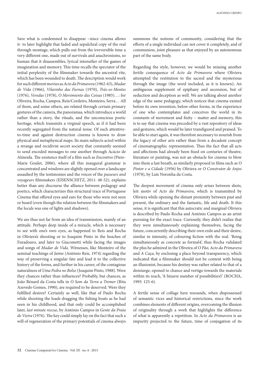Save what is condemned to disappear –since cinema allows it- to later highlight that faded and sepulchral copy of the real through montage, which pulls out from the irreversible time a very different one, made out of survivals and anachronisms, so human that it disassembles, lyrical intensifier of the games of imagination and memory. This time recalls the spectator of the initial perplexity of the filmmaker towards the ancestral rite, which has been wounded to death. The description would work for such different movies as *Acto da Primavera* (1962-63), *Mudar de Vida* (1966), *Vilarinho das Furnas* (1970), *Trás-os-Montes* (1976), *Veredas* (1978), *O Movimiento das Coisas* (1985)…: for Oliveira, Rocha, Campos, Reis/Cordeiro, Monteiro, Serra… All of them, and some others, are related through certain primary gestures of the camera, the panoramas, which introduce a world rather than a story, the rituals, and the unconscious poetic heritage, which transmits a virginal speech, as if it had been recently segregated from the natural noise. Of such attentiveto-time and against destruction cinema is known to draw physical and metaphysical maps. Its main subjects acted within a strange and recidivist secret society that constantly seemed to send encoded messages to one another through Acácio de Almeida. The existence itself of a film such as *Encontros* (Piere-Marie Goulet, 2006), where all this inaugural grammar is concentrated and windows are slightly opened over a landscape assaulted by the testimonies and the voices of the *passeurs and voyageurs* filmmakers (EISENSCHITZ, 2011: 48-52), explains better than any discourse the alliance between pedagogy and poetics, which characterizes this structural trace of Portuguese Cinema that offered eyes and ears for those who were not seen or heard (even though the relation between the filmmakers and the locals was one of lights and shadows).

We are thus not far from an idea of transmission, mainly of an attitude. Perhaps deep inside of a miracle, which is necessary to see with one's own eyes, as happened to Reis and Rocha in Oliviera's shooting or to Joaquim Pinto in the beaches of Furadouro, and later to Giacometti while facing the images and songs of *Mudar de Vida*. Witnesses, like Monteiro of the seminal teachings of *Jaime* (António Reis, 1974) regarding the way of preserving a singular fate and lead it to the collective history of the forms, and further in his career, of the contagious naturalness of *Uma Pedra no Bolso* (Joaquim Pinto, 1988). Were they chances rather than influences? Probably, but chances, as João Bénard da Costa tells in *O Som da Terra a Tremer* (Rita Azevedo Gomes, 1990), are required to be deserved. Were they fulfilled desires? Certainly as well, like that of Paulo Rocha while shooting the loads dragging the fishing boats as he had seen in his childhood, and that only could be accomplished later, *last minute rescue*, by António Campos in *Gente da Praia de Vieira* (1976). The key could simply lay on the fact that such a will of regeneration of the primary potentials of cinema always

summons the notions of community, considering that the efforts of a single individual can not cover it completely, and of communion, joint pleasure as that enjoyed by an autonomous part of the same body.

Regarding the style, however, we would be missing another fertile consequence of *Acto da Primavera* where Oliviera attempted the restitution to the sacred and the mysterious through the image (the word included, as it is known); An ambiguous supplement of epiphany and ascension, but of seduction and deception as well. We are talking about another edge of the same pedagogy, which notices that cinema existed before its own invention, below other forms, in the experience of one who contemplates and conceives the world in its constants of movement and fixity – matter and memory, this is to say that cinema was preceded by a vast repository of ideas and gestures, which would be later transfigured and praised. To be able to start again, it was therefore necessary to nourish from the legacy of other arts rather than from a decadent concept of cinematographic representation. Thus the fact that all acts and affections had already been fixed on centuries of theatre, literature or painting, was not an obstacle for cinema to blow into them a last breath, as similarly proposed in films such as *O Pintor e a Cidade* (1956) by Oliviera or *O Construtor de Anjos* (1978), by Luís Noronha da Costa.

The deepest movement of cinema only arises between shots, leit motiv of *Acto da Primavera*, which is transmitted by Oliviera while opening the distant proximity between past and present, the ordinary and the fantastic, life and death. It this sense, it is significant that this autocratic and marginal Oliviera is described by Paulo Rocha and António Campos as an artist pursuing for the exact trace. Curiously, they didn't realize that they were simultaneously explaining themselves, facing the future, concurrently describing their own exile and their desire, similar in intensity, of colouring fiction with the real. 'Being simultaneously as concrete as formal4', thus Rocha validated the plus he admired in the Oliveira of *O Pão, Acto da Primavera* and *A Caça*, by enclosing a place beyond transparency, which indicated that a filmmaker should not be content with being an illusionist, because his destiny was rather related to that of a demiurge, opened to chance and vertigo towards the materials within its reach, 'A bizarre number of possibilities5' (ROCHA, 1995: 125-6).

A fertile sense of collage here resounds, when dispossessed of semantic vices and historical restrictions, since the work combines elements of different origins, overcoming the illusion of originality through a work that highlights the difference of what is apparently a repetition. In *Acto da Primavera* is an impurity projected to the future, time of conjugation of its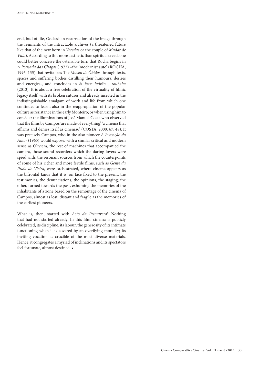end, bud of life, Godardian resurrection of the image through the remnants of the intractable archives (a threatened future like that of the new born in *Veredas* or the couple of *Mudar de Vida*). According to this more aesthetic than spiritual creed, one could better conceive the ostensible turn that Rocha begins in *A Pousada das Chagas* (1972) –the 'modernist auto' (ROCHA, 1995: 135) that revitalizes The *Museu de Óbidos* through texts, spaces and suffering bodies distilling their humours, desires and energies-, and concludes in *Si fosse ladrão… roubaba* (2013). It is about a free celebration of the virtuality of filmic legacy itself, with its broken sutures and already inserted in the indistinguishable amalgam of work and life from which one continues to learn; also in the reappropiation of the popular culture as resistance in the early Monteiro; or when using him to consider the illuminations of José Manuel Costa who observed that the films by Campos 'are made of everything', 'a cinema that affirms and denies itself as cinema6' (COSTA, 2000: 67, 48). It was precisely Campos, who in the also pioneer *A Invenção do Amor* (1965) would expose, with a similar critical and modern sense as Oliviera, the rest of machines that accompanied the camera, those sound recorders which the daring lovers were spied with, the resonant sources from which the counterpoints of some of his richer and more fertile films, such as *Gente da Praia de Vieira*, were orchestrated, where cinema appears as the bifrontal Janus that it is: on face fixed to the present, the testimonies, the denunciations, the opinions, the staging; the other, turned towards the past, exhuming the memories of the inhabitants of a zone based on the remontage of the cinema of Campos, almost as lost, distant and fragile as the memories of the earliest pioneers.

What is, then, started with *Acto da Primavera*? Nothing that had not started already. In this film, cinema is publicly celebrated, its discipline, its labour, the generosity of its intimate functioning when it is covered by an overflying morality; its inviting vocation as crucible of the most diverse materials. Hence, it congregates a myriad of inclinations and its spectators feel fortunate, almost destined. •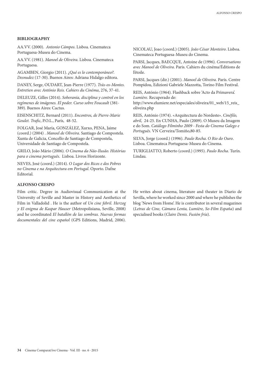## **BIBLIOGRAPHY**

AA.VV. (2000). *Antonio Cámpos*. Lisboa. Cinemateca Portuguesa-Museu do Cinema.

AA.VV. (1981). *Manoel de Oliveira*. Lisboa. Cinemateca Portuguesa.

AGAMBEN, Giorgio (2011). *¿Qué es lo contemporáneo?. Desnudez* (17-30). Buenos Aires: Adriana Hidalgo editora.

DANEY, Serge, OUDART, Jean-Pierre (1977). *Trás-os-Montes. Entretien avec António Reis. Cahiers du Cinéma*, 276, 37-41.

DELEUZE, Gilles (2014). *Soberanía, disciplina y control en los regímenes de imágenes. El poder. Curso sobre Foucault* (381- 389). Buenos Aires: Cactus.

EISENSCHITZ, Bernard (2011). *Encontros, de Pierre-Marie Goulet. Trafic*, P.O.L., París, 48-52.

FOLGAR, José María, GONZÁLEZ, Xurxo, PENA, Jaime (coord.) (2004) . *Manoel de Oliveira*. Santiago de Compostela. Xunta de Galicia, Concello de Santiago de Compostela, Universidade de Santiago de Compostela.

GRILO, João Mário (2006). *O Cinema da Não-Ilusão. Histórias para o cinema português*. Lisboa. Livros Horizonte.

NEVES, José (coord.) (2014). *O Lugar dos Ricos e dos Pobres no Cinema e na Arquitectura em Portugal*. Oporto. Dafne Editorial.

## **ALFONSO CRESPO**

Film critic. Degree in Audiovisual Communication at the University of Seville and Master in History and Aesthetics of Film in Valladolid . He is the author of *Un cine febril. Herzog y El enigma de Kaspar Hauser* (Metropolisiana, Seville, 2008) and he coordinated *El batallón de las sombras. Nuevas formas documentales del cine español* (GPS Editions, Madrid, 2006).

NICOLAU, Joao (coord.) (2005). *João César Monteiro*. Lisboa. Cinemateca Portuguesa-Museu do Cinema.

PARSI, Jacques, BAECQUE, Antoine de (1996). *Conversations avec Manoel de Oliveira*. Paris. Cahiers du cinéma/Éditions de l'étoile.

PARSI, Jacques (dir.) (2001). *Manoel de Oliveira*. París. Centre Pompidou, Edizioni Gabriele Mazzotta, Torino Film Festival.

REIS, António (1964). Flashback sobre 'Acto da Primavera'. *Lumière*. Recuperado de:

http://www.elumiere.net/especiales/oliveira/01\_web/15\_reis\_ oliveira.php

REIS, António (1974). «Arquitectura do Nordeste». *Cinéfilo, abril,* 24-25. En CUNHA, Paulo (2009). O Museu da Imagem e do Som. *Catálogo Filminho 2009 - Festa do Cinema Galego e Português*. VN Cerveira/Tomiño,80-85.

SILVA, Jorge (coord.) (1996). *Paulo Rocha*. *O Rio do Ouro*. Lisboa. Cinemateca Portuguesa-Museu do Cinema.

TURIGLIATTO, Roberto (coord.) (1995). *Paulo Rocha*. Turín. Lindau.

He writes about cinema, literature and theater in Diario de Sevilla, where he worked since 2000 and where he publishes the blog 'News from Home'. He is contributor in several magazines (*Letras de Cine, Cámara Lenta, Lumière, So-Film España*) and specialised books (*Claire Denis. Fusión fría*).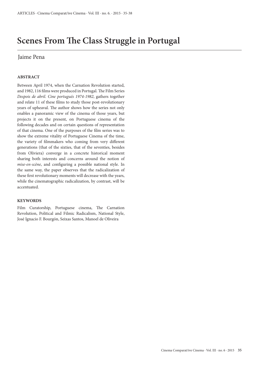## **Scenes From The Class Struggle in Portugal**

## Jaime Pena

## **ABSTRACT**

Between April 1974, when the Carnation Revolution started, and 1982, 116 films were produced in Portugal. The Film Series *Despois de abril. Cine portugués 1974-1982*, gathers together and relate 11 of these films to study those post-revolutionary years of upheaval. The author shows how the series not only enables a panoramic view of the cinema of those years, but projects it on the present, on Portuguese cinema of the following decades and on certain questions of representation of that cinema. One of the purposes of the film series was to show the extreme vitality of Portuguese Cinema of the time, the variety of filmmakers who coming from very different generations (that of the sixties, that of the seventies, besides from Oliviera) converge in a concrete historical moment sharing both interests and concerns around the notion of *mise-en-scène*, and configuring a possible national style. In the same way, the paper observes that the radicalization of these first revolutionary moments will decrease with the years, while the cinematographic radicalization, by contrast, will be accentuated.

## **KEYWORDS**

Film Curatorship, Portuguese cinema, The Carnation Revolution, Political and Filmic Radicalism, National Style, José Ignacio F. Bourgón, Seixas Santos, Manoel de Oliveira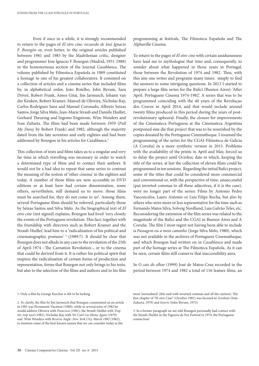Even if once in a while, it is strongly recommended to return to the pages of *El otro cine: recuerdo de José Ignacio F. Bourgón* or, even better, to the original articles published between 1981 and 1983 by the Madrilenian critic, designer and programmer Jose Ignacio F. Bourgon (Madrid, 1951-1988) in the homonymous section of the Journal *Casablanca*. The volume published by Filmoteca Española in 1989 constituted a homage to one of his greatest collaborators. It consisted on a collection of articles and a cinema series that included films by, in alphabetical order, João Botelho, John Byrum, Sara Driver, Robert Frank, Amos Gitai, Jim Jarmusch, Johann van der Keuken, Robert Kramer, Manoel de Oliveira, Nicholas Ray, Carlos Rodríguez Sanz and Manuel Coronado, Alberto Seixas Santos, Jorge Silva Melo, Jean-Marie Straub and Danièle Huillet, Gerhard Theuring and Ingemo Engstrom, Wim Wenders and Ivan Zulueta. The films had been made between 1959 (*Pull My Daisy* by Robert Frank) and 1982, although the majority dated from the late seventies and early eighties and had been addressed by Bourgon in his articles for Casablanca.<sup>1</sup>

This collection of texts and films takes us to a singular and very far time in which travelling was necessary in order to watch a determined type of films and to contact their authors. It would not be a bad idea to repeat that same series to contrast the meaning of the notion of 'other cinema' in the eighties and today. A number of those films are now accessible in DVD editions or at least have had certain dissemination, some others, nevertheless, still demand us to move: those films must be searched for, they do not come to us<sup>2</sup>. Among them, several Portuguese films should be referred, particularly those by Seixas Santos and Silva Melo. As the biographical text of *El otro cine* (not signed) explains, Bourgon had lived 'very closely the events of the Portuguese revolution. This fact, together with the friendship with directors such as Robert Kramer and the Straub-Huillet', lead him to a 'radicalization of his political and cinematographic postures' 3 (1989:7). It should be clear that Bourgon does not allude in any case to the revolution of the 25th of April 1974 –The Carnation Revolution–, or to the cinema that could be derived from it. It is rather his political spirit that inspires the radicalization of certain forms of production and representation, forms that Bourgon not only brings to his texts, but also to the selection of the films and authors and to his film

1. Only a film by George Kurchar is felt to be lacking.

programming at festivals, The Filmoteca Española and The Alphaville Cinema.

To return to the pages of *El otro cine* with certain assiduousness have lead me to mythologise that time and, consequently, to wonder about what happened in those years in Portugal, those between the Revolution of 1974 and 1982. Thus, with this aim one writes and programs many times: simply to find the answers to some intriguing questions. In 2013 I started to prepare a large film series for the Bafici (Buenos Aires): 'After April. Portuguese Cinema 1974-1982'. A series that was to be programmed coinciding with the 40 years of the Revoluçao dos Cravos in April 2014, and that would include around twenty films produced in this period during the years of postrevolutionary upheaval. Finally, the closure for improvements of the Cinemateca Portuguesa at the Cinemateca Argentina postponed sine die that project that was to be nourished by the copies donated by the Portuguese Cinematheque. I resumed the programming of the series for the CGAI-Filmoteca de Galicia (A Coruña) in a more synthetic version in 2015. Problems with the availability of the prints in April and May, forced us to delay the project until October, date in which, keeping the title of the series, at last the collection of eleven films could be programmed in ten sessions. Regarding the initial Bafici project, some of the titles that could be considered more commercial and conventional or, with the perspective of time, unsuccessful (put inverted commas to all these adjectives, if it is the case), were no longer part of the series: Films by Antonio Pedro Vasconcelos, Lauro Antonio or Luis Filipe Rocha, but also by others who were more or less representative for the time such as Fernando Matos Silva, Solveig Nordlund, Luis Galvão Teles, etc. Reconsidering the extension of the film series was related to the magnitude of the Bafici and the CGAI in Buenos Aires and A Coruña. The film I most regret not having been able to include is *Passagem ou a meio caminho* (Jorge Silva Melo, 1980), which was not available in the archives of Portuguese Cinematheque, and which Bourgon had written on in *Casablanca* and made part of the homage series at The Filmoteca Española. As it can be seen, certain films still conserve that inaccessibility aura.

In *O cais do olhar* (1999) José de Matos-Cruz recorded in the period between 1974 and 1982 a total of 116 feature films, an

<sup>2.</sup> To clarify, the film by Jim Jarmusch that Bourgon commented on an article in 1981 was Permanent Vacation (1980), while in several texts of 1982 he would address Oliviera with *Francisca* (1981), the Straub-Huillet with *Trop tôt, trop tard* (1981), Nicholas Ray with *We Can't Go Home Again* (1979) and Wim Wenders with *Reverse Angle: New York City, March 1982* (1982), to mention some of the best known names that we can consider today as the

most 'normalized' (this said with inverted commas and all the caution). The first chapter of "El otro Cine" (October 1981) was focused in *Arrebato* (Iván Zulueta, 1979) and *Inserts* (John Byrum, 1975).

<sup>3.</sup> In a former paragraph we are told Bourgon personally had contact with the Straub-Huillet in the Figeuira de Foz Festival in 1974: the Portuguese connection!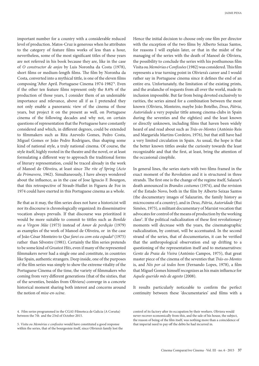important number for a country with a considerable reduced level of production. Matos-Cruz is generous when he attributes to the category of feature films works of less than a hour, nevertheless, some of the most significant titles of these years are not referred in his book because they are, like in the case of *O constructor de anjos* by Luis Noronha da Costa (1978), short films or medium-length films. The film by Noronha da Costa, converted into a mythical tittle, is one of the eleven films composing 'After April. Portuguese Cinema 1974-1982'4 . Even if the other ten feature films represent only the 8.6% of the production of those years, I consider them of an undeniable importance and relevance, above all if as I pretended they not only enable a panoramic view of the cinema of those years, but project it on the present as well, on Portuguese cinema of the following decades and why not, on certain questions of representation that the Portuguese have constantly considered and which, in different degrees, could be extended to filmmakers such as Rita Azevedo Gomes, Pedro Costa, Miguel Gomes or João Pedro Rodrigues, thus shaping some kind of national style, a truly national cinema. Of course, the style itself, highly rooted in the theatre and the novel, or at least formulating a different way to approach the traditional forms of literary representation, could be traced already in the work of Manoel de Oliveira, at least since *The rite of Spring* (*Acto da Primavera*, 1962). Simultaneously, I have always wondered about the influence, as in the case of Jose Ignacio F. Bourgon, that this retrospective of Straub-Huillet in Figuera de Foz in 1974 could have exerted in this Portuguese cinema as a whole.

Be that as it may, the film series does not have a historicist will nor its discourse is chronologically organized: its disseminative vocation always prevails. If that discourse was prioritized it would be more suitable to commit to tittles such as *Benilde ou a Virgem Mãe* (1973) instead of *Amor de perdição* (1979) as examples of the work of Manoel de Oliveira, or in the case of João César Monteiro to *Que farei eu com esta espada?* (1975) rather than Silvestre (1981). Certainly the film series pretends to be some kind of *Greatest Hits*, even if many of the represented filmmakers never had a single one and constitute, in countries like Spain, authentic strangers. Deep inside, one of the purposes of the film series was simply to show the extreme vitality of the Portuguese Cinema of the time, the variety of filmmakers who coming from very different generations (that of the sixties, that of the seventies, besides from Oliviera) converge in a concrete historical moment sharing both interest and concerns around the notion of *mise-en-scène*.

Hence the initial decision to choose only one film per director with the exception of the two films by Alberto Seixas Santos, for reasons I will explain later, or that in the midst of the managing of the series with the death of Manoel de Oliviera, the possibility to conclude the series with his posthumous film Visita ou *Memórias e Confissões* (1982) was considered. This film represents a true turning point in Oliviera's career and I would rather say in Portuguese cinema since it defines the end of an entire era. Unfortunately, the limitation of the existing prints, and the avalanche of requests from all over the world, made its inclusion impossible. But far from being devoted exclusively to rarities, the series aimed for a combination between the most known (Oliviera, Monteiro, maybe João Botelho, *Deus*, *Pátria*, *Autoridade* a very popular tittle among cinema-clubs in Spain during the seventies and the eighties) and the least known or directly unknown, including films that haven been widely heard of and read about such as *Trás-os-Montes* (António Reis and Margarida Martins Cordeiro, 1976), but that still have had a very limited circulation in Spain. As usual, the hope is that the better known tittles awake the curiosity towards the least recognizable and that the first, at least, bring the attention of the occasional cinephile.

In general lines, the series starts with two films framed in the exact moment of the Revolution and it is structured in three strands. The first one is the change of the regime itself, Salazar's death announced in *Brandos costumes* (1974), and the revision of the Estado Novo, both in the film by Alberto Seixas Santos (the documentary images of Salazarim, the family history as microcosms of a country), and in *Deus, Pátria, Autoridade* (Rui Simões, 1975), a militant documentary of Marxist vocation that advocates for control of the means of production by the working class<sup>5</sup>. If the political radicalization of these first revolutionary moments will decrease with the years, the cinematographic radicalization, by contrast, will be accentuated. In the second strand of the series, that of documentaries, it can be verified that the anthropological observation end up drifting to a questioning of the representation itself and to metanarratives: *Gente da Praia da Vieira* (António Campos, 1975), that great master piece of the cinema of the seventies that *Trás-os-Montes* is, and *Nós por cá todos bem* (Fernando Lopes, 1978), a film that Miguel Gomes himself recognizes as his main influence for *Aquele querido mês de agosto* (2008).

It results particularly noticeable to confirm the perfect continuity between these 'documentaries' and films with a

5. *Visita ou Memórias e confissões* would have constituted a good response within the series, that of the bourgeoisie itself, since Oliviera's family lost the

<sup>4.</sup> Film series programmed in the CGAI-Filmoteca de Galicia (A Coruña) between the 7th and the 23rd of October 2015.

control of its factory after its occupation by their workers. Oliviera would never recover economically from this, and the sale of his house, the subject, the reason of being of the film itself, was nothing more than a coincidence of that imperial need to pay off the debts he had incurred in.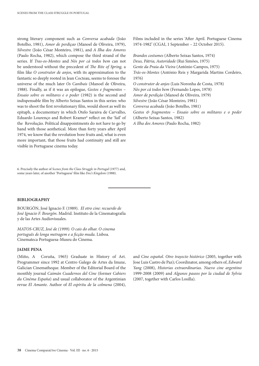strong literary component such as *Conversa acabada* (João Botelho, 1981), *Amor de perdiçao* (Manoel de Oliveira, 1979), *Silvestre* (João César Monteiro, 1981), and *A Ilha dos Amores*  (Paulo Rocha, 1982), which compose the third strand of the series. If *Tras-os-Montes* and *Nós por cá todos bem* can not be understood without the precedent of *The Rite of Spring,* a film like *O construtor de anjos*, with its approximation to the fantastic so deeply rooted in Jean Cocteau, seems to foresee the universe of the much later *Os Canibais* (Manoel de Oliveira, 1988). Finally, as if it was an epilogue, *Gestos e fragmentos* – *Ensaio sobre os militares e o poder* (1982) is the second and indispensable film by Alberto Seixas Santos in this series: who was to shoot the first revolutionary film, would shoot as well its epitaph, a documentary in which Otelo Saraiva de Carvalho, Eduardo Lourenço and Robert Kramer<sup>6</sup> reflect on the 'fail' of the Revolução. Political disappointments do not have to go by hand with those aesthetical. More than forty years after April 1974, we know that the revolution bore fruits and, what is even more important, that those fruits had continuity and still are visible in Portuguese cinema today.

6. Precisely the author of *Scenes from the Class Struggle in Portugal* (1977) and, some years later, of another 'Portuguese' film like *Doc's Kingdom* (1988).

## **BIBLIOGRAPHY**

BOURGÓN, José Ignacio F. (1989). *El otro cine: recuerdo de José Ignacio F. Bourgón*. Madrid. Instituto de la Cinematografía y de las Artes Audiovisuales.

*MATOS-CRUZ, José de (1999). O cais do olhar. O cinema português de longa metragem e a ficção muda*. Lisboa. Cinemateca Portuguesa-Museu do Cinema.

### **JAIME PENA**

(Miño, A Coruña, 1965) Graduate in History of Art. Programmer since 1992 at Centro Galego de Artes da Imaxe, Galician Cinematheque. Member of the Editorial Board of the monthly journal *Caimán Cuadernos del Cine* (former *Cahiers du Cinéma España*) and usual collaborator of the Argentinian revue *El Amante*. Author of *El espíritu de la colmena* (2004), Films included in the series 'After April. Portuguese Cinema 1974-1982' (CGAI, 1 September – 22 October 2015).

*Brandos costumes* (Alberto Seixas Santos, 1974) *Deus, Pátria, Autoridade* (Rui Simões, 1975) *Gente da Praia da Vieira* (António Campos, 1975) *Trás-os-Montes* (António Reis y Margarida Martins Cordeiro, 1976) *O construtor de anjos* (Luis Noronha de Costa, 1978) *Nós por cá todos bem* (Fernando Lopes, 1978) *Amor de perdição* (Manoel de Oliveira, 1979) *Silvestre* (João César Monteiro, 1981) *Conversa acabada* (João Botelho, 1981) *Gestos & fragmentos – Ensaio sobre os militares e o poder*

(Alberto Seixas Santos, 1982)

*A Ilha dos Amores* (Paulo Rocha, 1982)

and *Cine español*. *Otro trayecto histórico* (2005, together with Jose Luis Castro de Paz); Coordinator, among others of, *Edward Yang* (2008), *Historias extraordinarias. Nuevo cine argentino* 1999-2008 (2009) and *Algunos paseos por la ciudad de Sylvia* (2007, together with Carlos Losilla).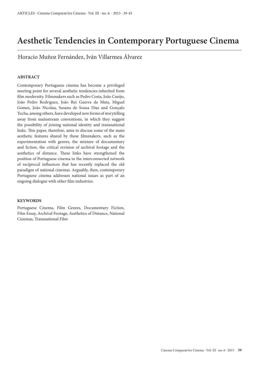## **Aesthetic Tendencies in Contemporary Portuguese Cinema**

Horacio Muñoz Fernández, Iván Villarmea Álvarez

## **ABSTRACT**

Contemporary Portuguese cinema has become a privileged meeting point for several aesthetic tendencies inherited from film modernity. Filmmakers such as Pedro Costa, João Canijo, João Pedro Rodrigues, João Rui Guerra da Mata, Miguel Gomes, João Nicolau, Susana de Sousa Dias and Gonçalo Tocha, among others, have developed new forms of storytelling away from mainstream conventions, in which they suggest the possibility of joining national identity and transnational links. This paper, therefore, aims to discuss some of the main aesthetic features shared by these filmmakers, such as the experimentation with genres, the mixture of documentary and fiction, the critical revision of archival footage and the aesthetics of distance. These links have strengthened the position of Portuguese cinema in the interconnected network of reciprocal influences that has recently replaced the old paradigm of national cinemas. Arguably, then, contemporary Portuguese cinema addresses national issues as part of an ongoing dialogue with other film industries.

## **KEYWORDS**

Portuguese Cinema, Film Genres, Documentary Fiction, Film Essay, Archival Footage, Aesthetics of Distance, National Cinemas, Transnational Film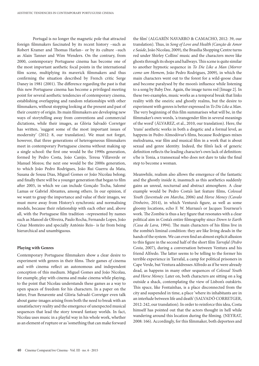Portugal is no longer the magnetic pole that attracted foreign filmmakers fascinated by its recent history –such as Robert Kramer and Thomas Harlan– or by its culture –such as Alain Tanner and Wim Wenders. On the contrary, from 2000, contemporary Portuguese cinema has become one of the most important aesthetic focal points in the international film scene, multiplying its maverick filmmakers and thus confirming the situation described by French critic Serge Daney in 1981 (2001). The difference regarding the past is that this new Portuguese cinema has become a privileged meeting point for several aesthetic tendencies of contemporary cinema, establishing overlapping and random relationships with other filmmakers, without stopping looking at the present and past of their country of origin. Its main filmmakers are developing new ways of storytelling away from conventions and commercial dictations, while their images, as Glòria Salvadó Corretger has written, 'suggest some of the most important issues of modernity' (2012: 8, our translation). We must not forget, however, that three generations of heterogeneous filmmakers meet in contemporary Portuguese cinema without making up a single school: the first one would be the 1990s generation, formed by Pedro Costa, João Canijo, Teresa Villaverde or Manuel Mozos; the next one would be the 2000s generation, to which João Pedro Rodrigues, João Rui Guerra da Mata, Susana de Sousa Dias, Miguel Gomes or João Nicolau belong; and finally there will be a younger generation that began to film after 2005, in which we can include Gonçalo Tocha, Salomé Lamas or Gabriel Abrantes, among others. In our opinion, if we want to grasp the importance and value of their images, we must move away from History's synchronic and normalising models, because their relationship with each other and, above all, with the Portuguese film tradition –represented by names such as Manoel de Oliveira, Paulo Rocha, Fernando Lopes, João César Monteiro and specially António Reis– is far from being hierarchical and unambiguous.

#### **Playing with Genres**

Contemporary Portuguese filmmakers show a clear desire to experiment with genres in their films. Their games *of* cinema and *with* cinema reflect an autonomous and independent conception of this medium. Miguel Gomes and João Nicolau, for example, play with cinema and make cinema while playing, to the point that Nicolau understands these games as a way to open spaces of freedom for his characters. In a paper on the latter, Fran Benavente and Glòria Salvadó Corretger even talk about game-images arising from both the need to break with an unsatisfactory reality and the emergence of unexpected musical sequences that lead the story toward fantasy worlds. In fact, Nicolau uses music in a playful way in his whole work, whether as an element of rupture or as 'something that can make forward

the film' (ALGARÍN NAVARRO & CAMACHO, 2012: 39, our translation). Thus, in *Song of Love and Health (Canção de Amor e Saúde*, João Nicolau, 2009), the Brasília Shopping Centre turns red under Shirley Collins' music and the characters move like ghosts through its shops and hallways. This scene is quite similar to another hypnotic sequence in *To Die Like a Man (Morrer como um Homem*, João Pedro Rodrigues, 2009), in which the main characters went out to the forest for a wild-goose chase and become paralysed by the moon's influence while listening to a song by Baby Dee. Again, the image turns red [Image 2]. In these two examples, music works as a temporal break that links reality with the oneiric and ghostly realms, but the desire to experiment with genres is better expressed in *To Die Like a Man*. The very beginning of this film summarises what will be, in the filmmaker's own words, 'a transgender film in several meanings of the word' (ÁLVAREZ, et al., 2010, our translation). Here, the 'trans' aesthetic works in both a diegetic and a formal level, as happens in Pedro Almodóvar's films, because Rodrigues mixes melodrama, war film and musical film in a work that is about sexual and genre identity. Indeed, the film's lack of generic definition reflects the leading character's own lack of definition: s/he is Tonia, a transsexual who does not dare to take the final step to become a woman.

Meanwhile, realism also allows the emergence of the fantastic and the ghostly inside it, inasmuch as this aesthetics suddenly gains an unreal, nocturnal and abstract atmosphere. A clear example would be Pedro Costa's last feature films, *Colossal Youth (Juventude em Marcha*, 2006) and *Horse Money (Cavalo Dinheiro*, 2014), in which Ventura's figure, as well as some gloomy locations, echo F. W. Murnau's or Jacques Tourneur's work. The Zombie is thus a key figure that resonates with a clear political aim in Costa's entire filmography since *Down to Earth (Casa de Lava,* 1994). The main characters of his films live in the zombie's liminal condition: they are like living deads in the hands of the system. We can even find an almost explicit allusion to this figure in the second half of the short film *Tarrafal (Pedro Costa*, 2007), during a conversation between Ventura and his friend Alfredo. The latter seems to be telling to the former his terrible experience in Tarrafal, a camp for political prisoners in Cape Verde, but Ventura addresses Alfredo as if he were already dead, as happens in many other sequences of *Colossal Youth and Horse Money*. Later on, both characters are sitting on a log outside a shack, contemplating the view of Lisbon's outskirts. This space, like Fontaínhas, is a place disconnected from the city and suspended in time, a place 'where its inhabitants are in an interlude between life and death' (SALVADÓ CORRETGER, 2012: 242, our translation). In order to reinforce this idea, Costa himself has pointed out that the actors thought in hell while wandering around this location during the filming. (NEYRAT, 2008: 166). Accordingly, for this filmmaker, both deportees and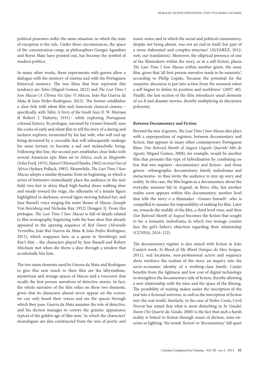political prisoners suffer the same situation, in which the state of exception is the rule. Under these circumstances, the space of the concentration camp, as philosophers Giorgio Agamben and Reyes Mate have pointed out, has become the symbol of modern politics.

In many other works, these experiments with genres allow a dialogue with the memory of cinema and with the Portuguese historical memory. The two films that best represent this tendency are *Tabu* (Miguel Gomes, 2012) and *The Last Time I Saw Macao* (*A Última Vez Que Vi Macau*, João Rui Guerra da Mata & João Pedro Rodrigues, 2012). The former establishes a clear link with silent film and American classical cinema – specifically, with Tabú: *A Story of the South Seas* (F. W. Murnau & Robert J. Flaherty, 1931)– while exploring Portuguese colonial history. Its prologue, narrated by Gomes himself, uses the codes of early and silent film to tell the story of a daring and taciturn explorer, tormented by his late wife, who will end up being devoured by a crocodile that will subsequently undergo his same torture: to become a sad and melancholic being. Following this line, the second part establishes clear links with several American epic films set in Africa, such as *Mogambo* (John Ford, 1953), *Hatari!* (Howard Hawks, 1962) or even *Out of Africa* (Sydney Pollack, 1985). Meanwhile, *The Last Time I Saw Macao* adopts a similar dynamic from its beginning, in which a series of leitmotivs immediately place the audience in the noir field: two feet in shiny black high-heeled shoes walking slow and steady toward the stage, the silhouette of a female figure highlighted in darkness, several tigers moving behind her, and Jane Russel's voice singing the main theme of *Macao* (Joseph Von Sternberg and Nicholas Ray, 1952) [Imagen 3]. From this prologue, *The Last Time I Saw Macao* is full of details related to film iconography, beginning with the lone shoe that already appeared in the opening sequence of *Red Dawn (Alvorada Vermelha*, João Rui Guerra da Mata & João Pedro Rodrigues, 2011), which reappears here as a quote to Sternberg's and Ray's film – the characters played by Jane Russell and Robert Mitchum met when she threw a shoe through a window that accidentally hits him.

The two main elements used by Guerra da Mata and Rodrigues to give this noir touch to their film are the labyrinthine, mysterious and strange spaces of Macao and a voiceover that recalls the first-person narratives of detective stories. In fact, the whole narrative of the film relies on these two elements, given that its characters almost never appear on the screen: we can only heard their voices and see the spaces through which they pass. Guerra da Mata assumes the role of detective, and his diction manages to convey the granitic appearance typical of the golden age of film noir, 'in which the characters' monologues are also constructed from the mix of poetic and ironic notes; and in which the social and political commentary, despite not being absent, was not an end in itself, but part of a more elaborated and complex structure' (ÁLVAREZ, 2012: web, our translation). Moreover, the elliptical presence of one of the filmmakers within the story, as in a self-fiction, places *The Last Time I Saw Macao* within another genre, the essay film, given that 'all first-person narrative tends to be essayistic', according to Philip Lopate, 'because the potential for the essayistic discourse is put into action from the moment when a self begins to define its position and worldview' (2007: 68). Finally, the last section of the film introduces usual elements of sci-fi and disaster movies, thereby multiplying its discursive polysemy.

### **Between Documentary and Fiction**

Beyond the mix of genres, *The Last Time I Saw Macao* also plays with a superposition of registers, between documentary and fiction, that appears in many other contemporary Portuguese films. *Our Beloved Month of August (Aquele Querido Mês de Agosto*, Miguel Gomes, 2008), for example, would be another film that presents this type of hybridisation by combining no less that two registers –documentary and fiction– and three genres –ethnographic documentary, family melodrama and metacinema– to thus invite the audience to mix up story and reality. In this case, the film begins as a documentary about the everyday summer life in Arganil, in Beira Alta, but another reality soon appears within this documentary, another level that tells the story o a filmmaker –Gomes himself– who is compelled to assume the impossibility of making his film. Later on, towards the middle of the film, a third level rises, and then *Our Beloved Month of August* becomes the fiction that sought to be: a romantic melodrama in which two teenage cousins face the girl's father's objection regarding their relationship (CUNHA, 2014: 122).

The documentary register is also mixed with fiction in João Canijo's work: *In Blood of My Blood (Sangue do Meu Sangue*, 2011), real locations, non-professional actors and sequence shots reinforce the realism of the story, an inquiry into the socio-economic identity of a working-class family. Canijo benefits from the lightness and low cost of digital technology to strengthen the documentary side of fiction, thereby allowing a new relationship with the time and the space of the filming. The possibility of waiting makes easier the inscription of the real into a fictional universe, as well as the inscription of fiction into the real world. Similarly, in the case of Pedro Costa, Cyril Neyrat has stated that what is most disturbing in *In Vanda's Room (No Quarto da Vanda*, 2000) is the fact that such a harsh reality is linked to fiction through issues of diction, mise-enscène or lighting: 'the words 'fiction' or 'documentary' fall apart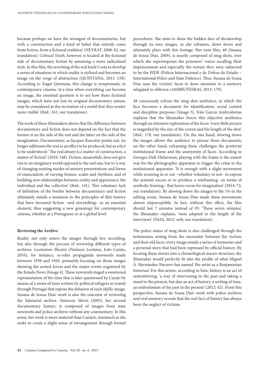because perhaps we have the strongest of documentaries, but with a construction and a kind of belief that entirely come from fiction, from a fictional tradition' (NEYRAT, 2008: 82, our translation). *Colossal Youth*, however, is located at the fictional side of documentary fiction by assuming a more radicalised style. In this film, the rewriting of the real leads Costa to develop a series of situations in which reality is stylised and becomes an image on the verge of abstraction (QUINTANA, 2011: 159). According to Àngel Quintana, this change is symptomatic in contemporary cinema: 'at a time when everything can become an image, the essential question is to see how these fictional images, which have not lost its original documentary nature, may be considered as the recreation of a world that they render more visible' (ibid.: 161, our translation).

The work of these filmmakers shows that the difference between documentary and fiction does not depend on the fact that the former is on the side of the real and the latter on the side of the imagination. Documentary, as Jacques Rancière points out, no longer addresses the real as an effect to be produced, but as a fact to be understood: 'The real always is a matter of construction, a matter of 'fiction'' (2010: 148). Fiction, meanwhile, does not give rise to an imaginary world opposed to the real one, but to 'a way of changing existing modes of sensory presentations and forms of enunciation; of varying frames, scales and rhythms; and of building new relationships between reality and appearance, the individual and the collective' (ibid.: 141). This voluntary lack of definition of the border between documentary and fiction ultimately entails a mutation in the principles of film history that have favoured fiction –and storytelling– as an essential element, thus suggesting a new genealogy for contemporary cinema, whether at a Portuguese or at a global level.

### **Reviewing the Archive**

Reality not only enters the images through live recording, but also through the process of reviewing different types of archives. *Lusitanian Illusion (Fantasia Lusitana*, João Canijo, 2010), for instance, re-edits propaganda newsreels made between 1939 and 1945, primarily focusing on those images showing the armed forces and the major events organized by the Estado Novo [Image 4]. These newsreels staged a sweetened representation of the time that is later questioned by Canijo by means of a series of texts written by political refugees in transit through Portugal that expose the delusion of such idyllic image. Susana de Sousa Dias' work is also the outcome of reviewing the Salazarist archive. *Natureza Morta* (2005), her second documentary feature, is composed of images from state newsreels and police archives without any commentary. In this sense, her work is more material than Canijo's, inasmuch as she seeks to create a slight sense of estrangement through formal

procedures. She aims to show the hidden face of dictatorship through its own images, so she reframes, slows down and ultimately plays with this footage. Her next film, *48* (Susana de Sousa Dias, 2009), is mostly composed of mug shots, over which she superimposes the prisoners' voices recalling their imprisonment and especially the torture they were subjected to by the PIDE (Polícia Internacional e de Defesa do Estado – International Police and State Defence). Thus, Susana de Sousa Dias uses the victims' faces to draw attention to a memory relegated to oblivion (AMBRUÑEIRAS, 2013: 179).

*48* consciously echoes the mug shot aesthetics, in which the face becomes a document for identification, social control and discipline purposes [Image 5]. Iván García Ambruñeiras explains that the filmmaker forces this objective aesthetics through an intensive exploration of the faces: 'every little picture is magnified by the size of the screen and the length of the shot' (*ibíd*.: 178, our translation). On the one hand, slowing down the images allows the audience to peruse these documents; on the other hand, reframing them challenges the positivist institutional frame and the anonymity of faces. According to Georges Didi-Huberman, playing with the frame is the easiest way for the photographic apparatus to trigger the crisis in the institutional apparatus: 'It is enough with a slight movement while zooming in or out –whether voluntary or not– to expose the system's excess or to produce a misframing –in terms of symbolic framing– that leaves room for imagination' (2014: 72, our translation). By slowing down the images to the 1% in the editing room, Susana de Sousa Dias made these movements almost imperceptible. In fact, without this effect, the film should last 7 minutes instead of 93: 'These seven minutes', the filmmaker explains, 'were adapted to the length of the interviews' (DIAS, 2012: web, our translation).

The police status of mug shots is also challenged through the testimonies arising from the encounter between the victims and their old faces: every image entails a series of memories and a personal story that had been repressed by official history. By locating these stories into a chronological macro-structure, the filmmaker would perfectly fit into the profile of what Miguel Á. Hernández-Navarro has named 'the artist as a Benjaminian historian'. For this artists, according to him, history is an act of remembering, 'a way of intervening in the past and taking a stand in the present, but also an act of history, a writing of time, an embodiment of the past in the present' (2012: 42). From this perspective, Susana de Sousa Dias' work with police archives and oral memory reveals that the real face of history has always been the neglect of victims.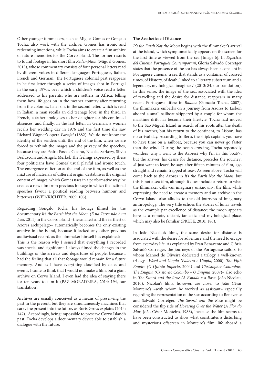Other younger filmmakers, such as Miguel Gomes or Gonçalo Tocha, also work with the archive: Gomes has ironic and redeeming intentions, while Tocha aims to create a film archive of future memories for the Corvo Island. The former resorts to found footage in his short film *Redemption* (Miguel Gomes, 2013), whose commentary consists of four personal letters read by different voices in different languages: Portuguese, Italian, French and German. The Portuguese colonial past reappears in he first letter through a series of images shot in Portugal in the early 1970s, over which a children's voice read a letter addressed to his parents, who are settlers in Africa, telling them how life goes on in the mother country after returning from the colonies. Later on, in the second letter, which is read in Italian, a man recalls an old teenage love; in the third, in French, a father apologises to her daughter for his continued absences; and finally, in the last letter, in German, a women recalls her wedding day in 1976 and the first time she saw Richard Wagner's opera *Parsifal* (1882). We do not know the identity of the senders until the end of the film, when we are forced to rethink the images and the privacy of the speeches, because they are Pedro Passos Coelho, Nicolas Sarkozy, Silvio Berlusconi and Angela Merkel. The feelings expressed by these four politicians have Gomes' usual playful and ironic touch. The emergence of fiction at the end of the film, as well as the mixture of materials of different origin, destabilises the original content of images, which Gomes uses in a performative way: he creates a new film from previous footage in which the fictional speeches favour a political reading between humour and bitterness (WEINRICHTER, 2009: 105).

Regarding Gonçalo Tocha, his footage filmed for the documentary *It's the Earth Not the Moon (É na Terra não é na Lua*, 2011) in the Corvo Island –the smallest and the farthest of Azores archipelago– automatically becomes the only existing archive in the island, because it lacked any other previous audiovisual record, as the filmmaker himself has explained: This is the reason why I sensed that everything I recorded

was special and significant. I always filmed the changes in the buildings or the arrivals and departures of people, because I had the feeling that all that footage would remain for a future memory. And as I have everything classified by dates and events, I came to think that I would not make a film, but a giant archive on Corvo Island. I even had the idea of staying there for ten years to film it (PAZ MORADEIRA, 2014: 194, our translation).

Archives are usually conceived as a means of preserving the past in the present, but they are simultaneously machines that carry the present into the future, as Boris Groys explains (2014: 147). Accordingly, being impossible to preserve Corvo Island's past, Tocha develops a documentary device able to establish a dialogue with the future.

#### **The Aesthetics of Distance**

*It's the Earth Not the Moon* begins with the filmmaker's arrival at the island, which symptomatically appears on the screen for the first time as viewed from the sea [Image 6]. In *Espectres del Cinema Portugués Contemporani*, Glòria Salvadó Corretger states that the presence of the sea has always been a constant in Portuguese cinema: 'a sea that stands as a container of crossed times, of History, of death, linked to a literary substratum and a legendary, mythological imaginary' (2013: 84, our translation). In this sense, the image of the sea, associated with the idea of travelling and the desire for distance, reappears in many recent Portuguese titles: in *Balaou* (Gonçalo Tocha, 2007), the filmmakers embarks on a journey from Azores to Lisbon aboard a small sailboat skippered by a couple for whom the maritime drift has become their lifestyle. Tocha had moved to the São Miguel Island in search of his roots after the death of his mother, but his return to the continent, to Lisbon, has no arrival day. According to Beru, the ship's captain, you have to have time on a sailboat, because you can never go faster than the wind. During the ocean crossing, Tocha repeatedly wonders 'why I went to the Azores? why I'm in this boat?», but the answer, his desire for distance, precedes the journey: «I just want to leave', he says after fifteen minutes of film, «go straight and remain trapped at sea». As seen above, Tocha will come back to the Azores in *It's the Earth Not the Moon*, but this is not a sea film, although it does include a return to what the filmmaker calls «an imaginary unknown»: the film, while expressing the need to create a memory and an archive in the Corvo Island, also alludes to the old journeys of imaginary anthropology. The very title echoes the stories of lunar travels as the example par excellence of distance: the moon appears here as a remote, distant, fantastic and mythological place, which may also be familiar (PRETE, 2010: 186).

In João Nicolau's films, the same desire for distance is associated with the desire for adventure and the need to escape from everyday life. As explained by Fran Benavente and Glòria Salvadó Corretger, the journeys of the Portuguese sailors, to whom Manoel de Oliveira dedicated a trilogy a well-known trilogy –*Word and Utopia (Palavra e Utopia*, 2000), *The Fifth Empire (O Quinto Imperio*, 2004) and *Christopher Columbus, The Enigma (Cristóvão Colombo – O Enigma*, 2007)– also echo in *The Sword and the Rose (A Espada e a Rosa*, João Nicolau, 2010). Nicolau's films, however, are closer to João César Monteiro's –with whom he worked as assistant– especially regarding the representation of the sea: according to Benavente and Salvadó Corretger, *The Sword and the Rose* might be considered the flip side of *Hovering Over the Water* (*À Flor do Mar*, João César Monteiro, 1986), 'because the film seems to have been constructed to show what constitutes a disturbing and mysterious offscreen in Monteiro's film: life aboard a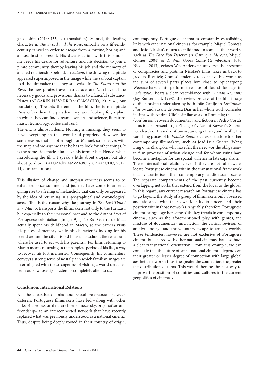ghost ship' (2014: 155, our translation). Manuel, the leading character in *The Sword and the Rose*, embarks on a fifteenthcentury caravel in order to escape from a routine, boring and almost hostile present. His dissatisfaction with this kind of life feeds his desire for adventure and his decision to join a pirate community, thereby leaving his job and the memory of a failed relationship behind. In *Balaou*, the drawing of a pirate appeared superimposed in the image while the sailboat captain told the filmmaker that they still exist. In *The Sword and the Rose*, the new pirates travel in a caravel and 'can have all the necessary goods and provisions' thanks to a fanciful substance: Plutex (ALGARÍN NAVARRO y CAMACHO, 2012: 41, our translation). Towards the end of the film, the former pirate Rosa offers them the paradise they were looking for, a place in which they can find 'dream, love, art and science, literature, music, technology, coffee and rum':

The end is almost Edenic. Nothing is missing, they seem to have everything in that wonderful propriety. However, for some reason, that is not enough for Manuel, so he leaves with the map and we assume that he has to look for other things. It is the same that made him leave his former life. Hence, when introducing the film, I speak a little about utopias, but also about perdition (ALGARÍN NAVARRO y CAMACHO, 2012: 41, our translation).

This illusion of change and utopian otherness seems to be exhausted once summer and journey have come to an end, giving rise to a feeling of melancholy that can only be appeased by the idea of returning in a geographical and chronological sense. This is the reason why the journey, in *The Last Time I Saw Macao*, transports the filmmakers not only to the Far East, but especially to their personal past and to the distant days of Portuguese colonialism [Image 9]. João Rui Guerra de Mata actually spent his childhood in Macao, so the camera visits his places of memory while his character is looking for his friend around the city: his old house, his school, the restaurant where he used to eat with his parents... For him, returning to Macao means returning to the happiest period of his life, a way to recover his lost memories. Consequently, his commentary conveys a strong sense of nostalgia in which familiar images are intermingled with the strangeness of visiting a world detached from ours, whose sign system is completely alien to us.

### **Conclusion: International Relations**

All these aesthetic links and visual resonances between different Portuguese filmmakers have led –along with other links of a professional nature born of necessity, pragmatism and friendship– to an interconnected network that have recently replaced what was previously understood as a national cinema. Thus, despite being deeply rooted in their country of origin,

contemporary Portuguese cinema is constantly establishing links with other national cinemas: for example, Miguel Gomes's and João Nicolau's return to childhood in some of their works, such as *The Face You Deserve* (*A Cara que Mereces*, Miguel Gomes, 2004) or *A Wild Goose Chase* (*Gambozinos*, João Nicolau, 2013), echoes Wes Anderson's universe; the presence of conspiracies and plots in Nicolau's films takes us back to Jacques Rivette's; Gomes' tendency to conceive his works as the sum of several parts places him close to Apichatpong Weerasethakul; his performative use of found footage in *Redemption* bears a clear resemblance with *Human Remains*  (Jay Ronsenblatt, 1998); the review process of the film image of dictatorship undertaken by both João Canijo in *Lusitanian Illusion* and Susana de Sousa Dias in her whole work coincides in time with Andrei Ujică's similar work in Romania; the usual (con)fusion between documentary and fiction in Pedro Costa's films is also present in Jia Zhang-ke's, Naomi Kawase's, Sharon Lockhart's or Lisandro Alonso's, among others; and finally, the vanishing places of In *Vanda's Room* locate Costa close to other contemporary filmmakers, such as José Luis Guerín, Wang Bing o Jia Zhang-ke, who have felt the need –or the obligation– to film processes of urban change and for whom ruins have become a metaphor for the spatial violence in late capitalism. These international relations, even if they are not fully aware, locate Portuguese cinema within the transnational framework that characterises the contemporary audiovisual scene. The separate compartments of the past currently become overlapping networks that extend from the local to the global. In this regard, any current research on Portuguese cinema has to go beyond the study of a group of filmmakers only obsessed and absorbed with their own identity to understand their position within those networks. Arguably, therefore, Portuguese cinema brings together some of the key trends in contemporary cinema, such as the aforementioned play with genres, the mixture of documentary and fiction, the critical revision of archival footage and the voluntary escape to fantasy worlds. These tendencies, however, are not exclusive of Portuguese cinema, but shared with other national cinemas that also have a clear transnational orientation. From this example, we can conclude that the future of small national cinemas depends on their greater or lesser degree of connection with large global aesthetic networks: thus, the greater the connection, the greater the distribution of films. This would then be the best way to improve the position of countries and cultures in the current geopolitics of cinema. •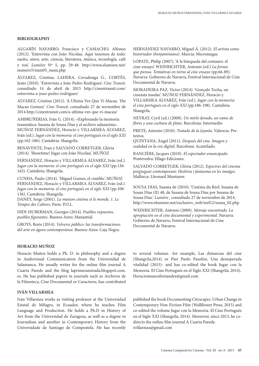### **BIBLIOGRAPHY**

ALGARÍN NAVARRO, Francisco y CAMACHO, Alfonso (2012). 'Entrevista con João Nicolau: Aquí tenemos de todo: sueño, amor, arte, ciencia, literatura, música, tecnología, café y ron'. *Lumière* Nº 5, pp. 29-48. http://www.elumiere.net/ numero5/num05\_issuu.php

ÁLVAREZ, Cristina; LAHERA, Covadonga G., CORTÉS, Jesús (2010). 'Entrevista a João Pedro Rodrigues', *Cine Transit*, consultado 14 de abril de 2015 http://cinentransit.com/ entrevista-a-joao-pedro-rodrigues/

ÁLVAREZ, Cristina (2012). 'A Ultima Vez Que Vi Macau. The Macao Gesture.' *Cine Transit*, consultado 27 de noviembre de 2014 http://cinentransit.com/a-ultima-vez-que-vi-macau/

AMBRUÑERIAS, Iván G. (2014). «Explorando la memoria traumática: Susana de Sousa Dias y el archivo salazarista». MUÑOZ FERNÁNDEZ, Horacio y VILLARMEA ÁLVAREZ, Iván (ed.). *Jugar con la memoria: el cine portugués en el siglo XXI*  (pp.162-186). Cantabria: Shangrila.

BENAVENTE, Fran y SALVADÓ CORRETGER, Glòria (2014). 'Showtime! Jugar con João Nicolau'. MUÑOZ

FERNÁNDEZ, Horacio y VILLARMEA ÁLVAREZ, Iván (ed.). *Jugar con la memoria: el cine portugués en el siglo XXI* (pp.136- 162). Cantabria: Shangrila.

CUNHA, Paulo (2014). 'Miguel Gomes, el cinéfilo.' MUÑOZ FERNÁNDEZ, Horacio y VILLARMEA ÁLVAREZ, Iván (ed.). *Jugar con la memoria: el cine portugués en el siglo XXI* (pp.108- 136). Cantabria: Shangrila.

DANEY, Serge (2001). *La maison cinéma et le monde. 1. Le Tempes des Cahiers*. Paris: P.O.L.

DIDI-HUBERMAN, Georges (2014). *Pueblos expuestos, pueblos figurantes*. Buenos Aires: Manantial.

GROYS, Boris (2014). *Volverse público: las transformaciones del arte en ágora contemporánea*. Buenos Aires: Caja Negra.

## **HORACIO MUÑOZ**

Horacio Muñoz holds a Ph. D. in philosophy and a degree in Audiovisual Communication from the Universidad de Salamanca. He usually writes for the online film journal A Cuarta Parede and the blog laprimeramirada.blogspot.com. es. He has published papers in journals such as Archivos de la Filmoteca, Cine Documental or Caracteres, has contributed

### **IVÁN VILLARMEA**

Iván Villarmea works as visiting professor at the Universidad Estatal de Milagro, in Ecuador, where he teaches Film Language and Production. He holds a Ph.D in History of Art from the Universidad de Zaragoza, as well as a degree in Journalism and another in Contemporary History from the Universidade de Santiago de Compostela. He has recently HERNÁNDEZ NAVARRO, Miguel Á. (2012). *El artista como historiador (benjaminiano).* Murcia: Micromegas.

LOPATE, Philip (2007). 'A la búsqueda del centauro: el cine-ensayo'. WEINRICHTER, Antonio (ed.) *La forma que piensa. Tentativas en torno al cine ensayo* (pp.66-89). Navarra: Gobierno de Navarra, Festival Internacional de Cine Documental de Navarra.

MORADEIRA PAZ, Víctor (2014). 'Gonçalo Tocha, un cineasta insular'. MUÑOZ FERNÁNDEZ, Horacio y VILLARMEA ÁLVAREZ, Iván (ed.). *Jugar con la memoria: el cine portugués en el siglo XXI* (pp.186-198). Cantabria: Shangrila.

NEYRAT, Cyril (ed.) (2008). *Un mirlo dorado, un ramo de flores y una cuchara de plata*. Barcelona: Intermedio

PRETE, Antonio (2010). *Tratado de la lejanía*. Valencia: Pretextos.

QUINTANA, Àngel (2011). *Después del cine. Imagen y realidad en la era digital*. Barcelona: Acantilado.

RANCIÈRE, Jacques (2010). *El espectador emancipado.*  Pontevedra: Ellago Ediciones.

SALVADÓ CORRETGER, Glòria (2012). *Espectres del cinema porgtugués contemporani: Història i fantasma en les imatges*. Mallorca: Lleonard Muntaner.

SOUSA DIAS, Susana de (2010). 'Cinèma du Réel: Susana de Sousa Dias (II) 48, de Susana de Sousa Dias por Susana de Sousa Dias.' *Lumière*¸ consultado 27 de noviembre de 2014, http://www.elumiere.net/exclusivo\_web/reel12/sousa\_02.php

WEINRICHTER, Antonio (2009). *Metraje encontrado. La apropiación en el cine documental y experimental*. Navarra: Gobierno de Navarra, Festival Internacional de Cine Documental de Navarra.

to several volumes -for example, Las distancias del cine (Shangrila,2014) or Pier Paolo Pasolini, Una desesperada vitalidad (2015)- and has co-edited the book Jugar con la Memoria. El Cine Portugués en el Siglo XXI (Shangrila, 2014). Horaciomunozfernandez@gmail.com

published the book Documenting Cityscapes. Urban Change in Contemporary Non-Fiction Film (Wallflower Press, 2015) and co-edited the volume Jugar con la Memoria. El Cine Portugués en el Siglo XXI (Shangrila, 2014). Moreover, since 2013, he codirects the online film journal A Cuarta Parede. ivillarmea@gmail.com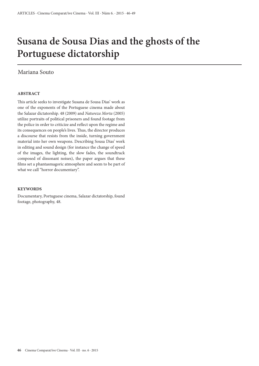## **Susana de Sousa Dias and the ghosts of the Portuguese dictatorship**

## Mariana Souto

## **ABSTRACT**

This article seeks to investigate Susana de Sousa Dias' work as one of the exponents of the Portuguese cinema made about the Salazar dictatorship. 48 (2009) and *Natureza Morta* (2005) utilize portraits of political prisoners and found footage from the police in order to criticize and reflect upon the regime and its consequences on people's lives. Thus, the director produces a discourse that resists from the inside, turning government material into her own weapons. Describing Sousa Dias' work in editing and sound design (for instance the change of speed of the images, the lighting, the slow fades, the soundtrack composed of dissonant noises), the paper argues that these films set a phantasmagoric atmosphere and seem to be part of what we call "horror documentary".

### **KEYWORDS**

Documentary, Portuguese cinema, Salazar dictatorship, found footage, photography, 48.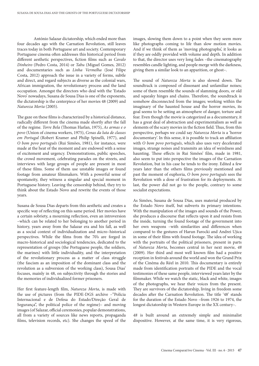António Salazar dictatorship, which ended more than four decades ago with the Carnation Revolution, still leaves traces today in both Portuguese art and society. Contemporary Portuguese cinema often addresses this historical period from different aesthetic perspectives, fiction films such as *Cavalo Dinheiro* (Pedro Costa, 2014) or *Tabu* (Miguel Gomes, 2012) and documentaries such as *Linha Vermelha* (José Filipe Costa, 2012) approach the issue in a variety of forms, subtle and direct, and regard subjects as diverse as the colonial wars, African immigration, the revolutionary process and the land occupation. Amongst the directors who deal with the 'Estado Novo' nowadays, Susana de Sousa Dias is one of the exponents, the dictatorship is the centerpiece of her movies 48 (2009) and *Natureza Morta* (2005).

The gaze on these films is characterized by a historical distance, radically different from the cinema made shortly after the fall of the regime. *Torre Bela* (Thomas Harlan, 1975), *As armas e o povo* (Union of cinema workers, 1975), *Cenas da luta de classes em Portugal* (Robert Kramer and Philip Spinelli, 1977), and *O bom povo português* (Rui Simões, 1981), for instance, were made at the heat of the moment and are endowed with a sense of excitement and urgency. Demonstrations, public speeches, the crowd movement, celebrating parades on the streets, and interviews with large groups of people are present in most of these films. Some of them use unstable images or found footage from amateur filmmakers. With a powerful sense of spontaneity, they witness a singular and special moment in Portuguese history. Leaving the censorship behind, they try to think about the Estado Novo and rewrite the events of those years.

Susana de Sousa Dias departs from this aesthetic and creates a specific way of reflecting on this same period. Her movies have a certain sobriety, a mourning reflection, even an introversion –which can be related to her belonging to another period in history, years away from the Salazar era and his fall, as well as a social context of individualization and micro–historical perspectives. While the films from the 70's are forged in macro-historical and sociological tendencies, dedicated to the representation of groups (the Portuguese people, the soldiers, the marines) with little individuality, and the interpretation of the revolutionary process as a matter of class struggle (the fascism as an imposition of the dominant class and the revolution as a subversion of the working class), Sousa Dias' focuses, mainly in 48, on subjectivity through the stories and the memories of individualized former prisoners.

Her first feature-length film, *Natureza Morta*, is made with the use of pictures (from the PIDE-DGS archive –"Polícia Internacional e de Defesa do Estado/Direção Geral de Segurança", the political police of the regime)– and moving images (of Salazar, official ceremonies, popular demonstrations, all from a variety of sources like news reports, propaganda films, television records, etc). She changes the speed of the

images, slowing them down to a point when they seem more like photographs coming to life than slow motion movies. And if we think of them as 'moving photographs', it looks as if they are oddly provided with volume and depth. In addition to that, the director uses very long fades –the cinematography resembles candle lighting, and people merge with the darkness, giving them a similar look to an apparition, or ghost–.

The sound of *Natureza Morta* is also slowed down. The soundtrack is composed of dissonant and unfamiliar noises; some of them resemble the sounds of slamming doors, or old and squeaky hinges and chains. Therefore, the soundtrack is somehow disconnected from the images; working within the imaginary of the haunted house and the horror movies, its goal seems to be setting an atmosphere of danger, torture and fear. Even though the movie is categorized as a documentary, it has a great deal of abstraction and experimentalism as well as elements of the scary movies in the fiction field. Thus, from this perspective, perhaps we could say *Natureza Morta* is a 'horror documentary'. In this sense, it is possible to track an affiliation with *O bom povo português*, which also uses very decelerated images, strange noises and transmits an idea of weirdness and haunting. These effects in Rui Simões' film, made in 1981, also seem to put into perspective the images of the Carnation Revolution, but in his case he tends to the irony. Edited a few years later than the others films previously mentioned and past the moment of euphoria, *O bom povo português* sees the Revolution with a dose of frustration for its deployments. At last, the power did not go to the people, contrary to some socialist expectations.

As Simões, Susana de Sousa Dias, uses material produced by the Estado Novo itself, but subverts its primary intentions. With the manipulation of the images and sounds of the Power, she produces a discourse that reflects upon it and resists from the inside, turning the found footage of the government into her own weapons –with similarities and differences when compared to the gestures of Harun Farocki and Andrei Ujica in some of their films with found footage. The idea of working with the portraits of the political prisoners, present in parts of *Natureza Morta*, becomes central in her next movie, *48* (2009). Her third and most well known film had a positive reception in festivals around the world and won the Grand Prix of the Cinéma du Réel in 2010. This documentary is entirely made from identification portraits of the PIDE and the vocal testimonies of these same people, interviewed years later by the filmmaker. While we watch the static, black and white, images of the photographs, we hear their voices from the present. They are survivors of the dictatorship, living in freedom some decades after the Carnation Revolution. The title '48' stands for the duration of the Estado Novo –from 1926 to 1974, the longest dictatorship in Western Europe in the XX century–.

*48* is built around an extremely simple and minimalist dispositive. However, at the same time, it is very rigorous,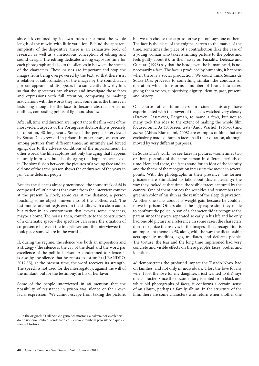since it's confined by its own rules for almost the whole length of the movie, with little variation. Behind the apparent simplicity of the dispositive, there is an exhaustive body of research as well as a meticulous conception of editing and sound design. The editing dedicates a long exposure time for each photograph and also to the silences in between the speech of the characters. These pauses are important and stop the images from being overpowered by the text, so that there isn't a relation of subordination of the images by the sound. Each portrait appears and disappears in a sufficiently slow rhythm, so that the spectators can observe and investigate those faces and expressions with full attention, comparing or making associations with the words they hear. Sometimes the time even lasts long enough for the faces to become abstract forms, or outlines, contrasting points of light and shadow.

After all, time and duration are important to the film –one of the most violent aspects of the Portuguese dictatorship is precisely its duration, 48 long years. Some of the people interviewed by Sousa Dias grew old in prison. In other cases, we can see, among pictures from different times, an untimely and forced aging, due to the adverse conditions of the imprisonment. In other words, the film captures not only the aging that happens naturally in prison, but also the aging that happens because of it. The slow fusion between the pictures of a young face and an old one of the same person shows the endurance of the years in jail. Time deforms people.

Besides the silences already mentioned, the soundtrack of *48* is composed of little noises that come from the interview context at the present (a clock, some car at the distance, a person touching some object, movements of the clothes, etc). The testimonies are not registered in the studio, with a clean audio, but rather in an environment that evokes some closeness, maybe a home. The noises, then, contribute to the construction of a cinematic space –the spectator can sense the situation of co-presence between the interviewer and the interviewee that took place somewhere in the world–.

If, during the regime, the silence was both an imposition and a strategy ('the silence is the cry of the dead and the word par excellence of the political prisoner: condemned to silence, it is also by the silence that he resists to torture'1 ) (LEANDRO, 2012:35), at the present time, the word recovers its strength. The speech is not used for the interrogatory, against the will of the militant, but for the testimony, in his or her favor.

Some of the people interviewed in 48 mention that the possibility of resistance in prison was silence or their own facial expression. 'We cannot escape from taking the picture,

but we can choose the expression we put on', says one of them. The face is the place of the enigma, screen to the marks of the time, sometimes the place of a contradiction (like the case of a young woman who takes a smiling picture to the police and feels guilty about it). In their essay on Faciality, Deleuze and Guattari (1996) say that the head, even the human head, is not necessarily a face. The face is produced by humanity, it happens when there is a social production. We could think Susana de Sousa Dias proceeds to something similar: she conducts an operation which transforms a number of heads into faces, giving them voices, subjectivity, dignity, identity, past, present, and history.

Of course other filmmakers in cinema history have experimented with the power of the faces watched very closely (Dreyer, Cassavetes, Bergman, to name a few), but not so many took this idea to the extent of making the whole film focused on it. As 48, Screen tests (Andy Warhol, 1964-66) and *Shirin* (Abbas Kiarostami, 2008) are examples of films that are exclusively made of human faces in all their duration, although moved by very different purposes.

In Sousa Dias's work, we see faces in pictures –sometimes two or three portraits of the same person in different periods of time. Here and there, the faces stand for an idea of the identity and the theme of the recognition intersects the movie in several points. With the photographs in their presence, the former prisoners are stimulated to talk about this materiality: the way they looked at that time, the visible traces captured by the camera. One of them notices the wrinkles and remembers the greenish color of his skin as the result of the sleep deprivation. Another one talks about his weight gain because he couldn't move in prison. Others about the ugly expression they made to confront the police. A son of a character didn't recognize the parent since they were separated so early in his life and he only had one old picture as a reference. In some cases, the characters don't recognize themselves in the images. Thus, recognition is an important theme to *48*, along with the way the dictatorship acts upon it: modifies, ages, mutilates, and deforms people. The torture, the fear and the long time imprisoned had very concrete and visible effects on these people's faces, bodies and identities.

*48* demonstrates the profound impact the 'Estado Novo' had on families, and not only in individuals. 'I lost the love for my wife, I lost the love for my daughter, I just wanted to die', says one character. Since the documentary is edited from black and white old photographs of faces, it conforms a certain sense of an album, perhaps a family album. In the structure of the film, there are some characters who return when another one

<sup>1.</sup> In the original: 'O silêncio é o grito dos mortos e a palavra por excelência do prisioneiro político: condenado ao silêncio, é também pelo silêncio que ele resiste à tortura'.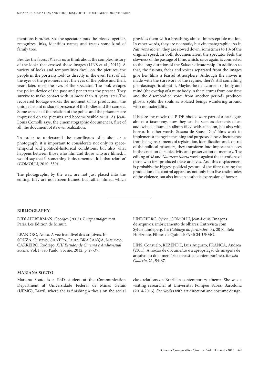mentions him/her. So, the spectator puts the pieces together, recognizes links, identifies names and traces some kind of family tree.

Besides the faces, *48* leads us to think about the complex history of the looks that crossed those images (LINS et al., 2011). A variety of looks and temporalities dwell on the pictures: the people in the portraits look us directly in the eyes. First of all, the eyes of the prisoners meet the eyes of the police and then, years later, meet the eyes of the spectator. The look escapes the police device of the past and penetrates the present. They survive to make contact with us more than 30 years later. The recovered footage evokes the moment of its production, the unique instant of shared presence of the bodies and the camera. Some aspects of the relation of the police and the prisoners are impressed on the pictures and become visible to us. As Jean-Louis Comolli says, the cinematographic document is, first of all, the document of its own realization:

'In order to understand the coordinates of a shot or a photograph, it is important to considerate not only its spacetemporal and political-historical conditions, but also what happens between those who film and those who are filmed. I would say that if something is documented, it is that relation' (COMOLLI, 2010: 339).

The photographs, by the way, are not just placed into the editing, they are not frozen frames, but rather filmed, which

provides them with a breathing, almost imperceptible motion. In other words, they are not static, but cinematographic. As in *Natureza Morta*, they are slowed down, sometimes to 1% of the original speed. In both documentaries, the spectator feels the slowness of the passage of time, which, once again, is connected to the long duration of the Salazar dictatorship. In addition to that, the fusions, fades and voices separated from the images give her films a fearful atmosphere. Although the movie is made with the survivors of the regime, there's still something phantasmagoric about it. Maybe the detachment of body and mind (the overlap of a mute body in the pictures from one time and the disembodied voice from another period) produces ghosts, splits the souls as isolated beings wandering around with no materiality.

If before the movie the PIDE photos were part of a catalogue, almost a taxonomy, now they can be seen as elements of an audiovisual album, an album filled with affection, but also with horror. In other words, Susana de Sousa Dias' films work to implement a change in meaning and purpose of these documents: from being instruments of registration, identification and control of the political prisoners, they transform into important pieces in the creation of subjectivity and preservation of memory. The editing of *48* and *Natureza Morta* works against the intentions of those who first produced these archives. And this displacement is probably the biggest political gesture of the film: turning the production of a control apparatus not only into live testimonies of the violence, but also into an aesthetic expression of horror.

#### **BIBLIOGRAPHY**

DIDI-HUBERMAN, Georges (2003). *Images malgré tout*. Paris. Les Edition de Minuit.

LEANDRO, Anita. A voz inaudível dos arquivos. In: SOUZA, Gustavo; CÁNEPA, Laura; BRAGANÇA, Maurício; CARREIRO, Rodrigo. *XIII Estudos de Cinema e Audiovisual Socine*. Vol. I. São Paulo: Socine, 2012. p. 27-37.

### **MARIANA SOUTO**

Mariana Souto is a PhD student at the Communication Department at Universidade Federal de Minas Gerais (UFMG), Brazil, where she is finishing a thesis on the social

LINDEPERG, Sylvie; COMOLLI, Jean-Louis. Imagens de arquivos: imbricamento de olhares. Entrevista com Sylvie Lindeperg. In: *Catálogo do forumdoc*. bh. 2010. Belo Horizonte, Filmes de Quintal/FAFICH-UFMG.

LINS, Consuelo; REZENDE, Luiz Augusto; FRANÇA, Andrea (2011). A noção de documento e a apropriação de imagens de arquivo no documentário ensaístico contemporâneo. *Revista Galáxia*, 21, 54-67.

class relations on Brazilian contemporary cinema. She was a visiting researcher at Universitat Pompeu Fabra, Barcelona (2014-2015). She works with art direction and costume design.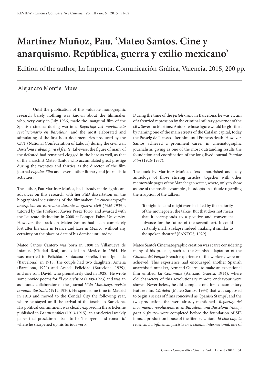## **Martínez Muñoz, Pau. 'Mateo Santos. Cine y anarquismo. República, guerra y exilio mexicano'**

Edition of the author, La Imprenta, Comunicación Gráfica, Valencia, 2015, 200 pp.

## Alejandro Montiel Mues

Until the publication of this valuable monographic research barely nothing was known about the filmmaker who, very early in July 1936, made the inaugural film of the Spanish cinema during wartime, *Reportaje del movimiento revolucionario en Barcelona*, and the most elaborated and stimulating of the first-hour-documentaries produced by the CNT (National Confederation of Labour) during the civil war, *Barcelona trabaja para el frente*. Likewise, the figure of many of the defeated had remained clogged in the haze as well, as that of the anarchist Mateo Santos who accumulated great prestige during the twenties and thirties as the director of the film journal *Popular Film* and several other literary and journalistic activities.

The author, Pau Martinez Muñoz, had already made significant advances on this research with her PhD dissertation on the biographical vicissitudes of the filmmaker: *La cinematografía anarquista en Barcelona durante la guerra civil (1936-1939)*<sup>1</sup> , tutored by the Professor Xavier Perez Torio, and awarded with the Laureate distinction in 2008 at Pompeu Fabra University. However, the track on Mateo Santos had been completely lost after his exile in France and later in Mexico, without any certainty on the place or date of his demise until today.

Mateo Santos Cantero was born in 1890 in Villanueva de Infantes (Ciudad Real) and died in Mexico in 1964. He was married to Felicidad Santacana Perelló, from Igualada (Barcelona), in 1918. The couple had two daughters, Amelia (Barcelona, 1920) and Araceli Felicidad (Barcelona, 1929), and one son, David, who prematurely died in 1928. He wrote some novice poems for *El eco artístico* (1909-1923) and was an assiduous collaborator of the Journal *Vida Manchega, revista semanal ilustrada* (1912-1920). He spent some time in Madrid in 1913 and moved to the Condal City the following year, where he stayed until the arrival of the fascist to Barcelona. His political commitment was clearly exposed in the articles he published in *Los miserables* (1913-1915), an anticlerical weekly paper that proclaimed itself to be 'insurgent and romantic' where he sharpened up his furious verb.

During the time of the *pistolerismo* in Barcelona, he was victim of a frenzied repression by the criminal military governor of the city, Severino Martinez Anido –whose figure would be glorified by naming one of the main streets of the Catalan capital, today the Passeig de Picasso, after him until Franco's death. However, Santos achieved a prominent career in cinematographic journalism, giving as one of the most outstanding results the foundation and coordination of the long-lived journal *Popular Film* (1926-1937).

The book by Martínez Muñoz offers a nourished and tasty anthology of those stirring articles, together with other memorable pages of the Manchegan writer, where, only to show as one of the possible examples, he adopts an attitude regarding the irruption of the talkies:

'It might jell, and might even be liked by the majority of the moviegoers, the talkie. But that does not mean that it corresponds to a positive and convenient advance for the future of the seventh art. It could certainly mark a relapse indeed, making it similar to the spoken theatre<sup>22</sup> (SANTOS, 1929).

Mateo Santo's Cinematographic creation was scarce considering many of his projects, such as the Spanish adaptation of the *Cinema del Peuple* French experience of the workers, were not achieved. This experience had encouraged another Spanish anarchist filmmaker, Armand Guerra, to make an exceptional film entitled *La Commune* (Armand Guerra, 1914), where old characters of this revolutionary remote endeavour were shown. Nevertheless, he did complete one first documentary feature film, *Córdoba* (Mateo Santos, 1934) that was supposed to begin a series of films conceived as 'Spanish Stamps', and the two productions that were already mentioned –*Reportaje del movimiento revolucionario en Barcelona and Barcelona trabaja para el frente*– were completed before the foundation of SIE films, a production house of the literary Union. *El cine bajo la svástica. La influencia fascista en el cinema internacional*, one of